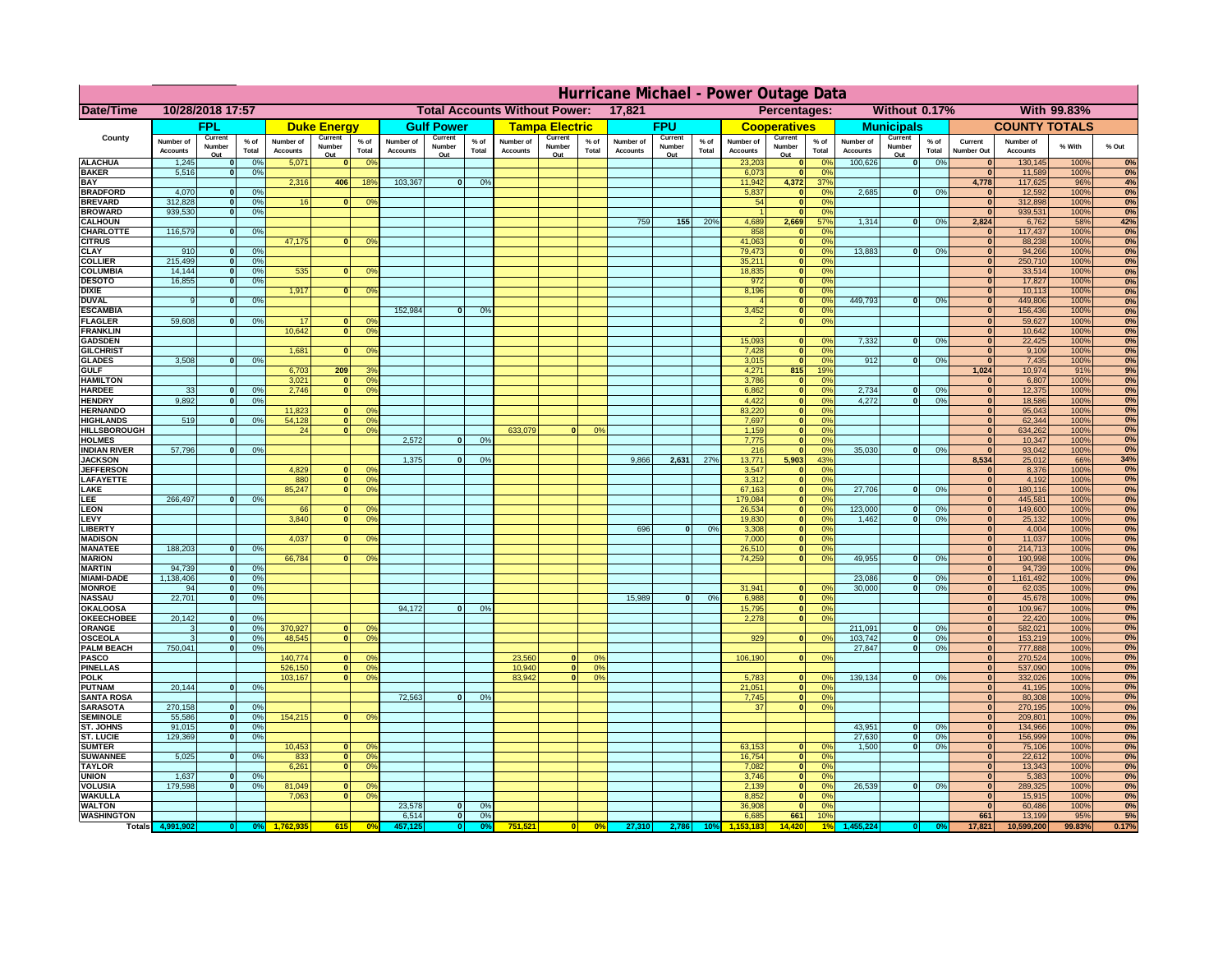|                                      | Hurricane Michael - Power Outage Data |                             |                      |                              |                    |                                                        |                              |                   |                |                              |                                              |                 |                              |                   |                 |                              |                     |                       |                              |                          |                 |                              |                              |              |           |
|--------------------------------------|---------------------------------------|-----------------------------|----------------------|------------------------------|--------------------|--------------------------------------------------------|------------------------------|-------------------|----------------|------------------------------|----------------------------------------------|-----------------|------------------------------|-------------------|-----------------|------------------------------|---------------------|-----------------------|------------------------------|--------------------------|-----------------|------------------------------|------------------------------|--------------|-----------|
| Date/Time                            | 10/28/2018 17:57                      |                             |                      |                              |                    | 17,821<br><b>Total Accounts Without Power:</b>         |                              |                   |                |                              | Without 0.17%<br>With 99.83%<br>Percentages: |                 |                              |                   |                 |                              |                     |                       |                              |                          |                 |                              |                              |              |           |
|                                      |                                       | FPL                         |                      |                              | <b>Duke Energy</b> |                                                        |                              | <b>Gulf Power</b> |                |                              | <b>Tampa Electric</b>                        |                 |                              | <b>FPU</b>        |                 |                              | <b>Cooperatives</b> |                       |                              | <b>Municipals</b>        |                 |                              | <b>COUNTY TOTALS</b>         |              |           |
| County                               | Number of<br><b>Accounts</b>          | Current<br>Number           | $%$ of<br>Total      | Number of<br><b>Accounts</b> | Current<br>Number  | $%$ of<br>Total                                        | Number of<br><b>Accounts</b> | Current<br>Number | % of<br>Total  | Number of<br><b>Accounts</b> | Current<br>Number                            | $%$ of<br>Total | Number of<br><b>Accounts</b> | Current<br>Number | $%$ of<br>Total | Number of<br><b>Accounts</b> | Current<br>Number   | $%$ of<br>Total       | Number of<br><b>Accounts</b> | Current<br>Number        | $%$ of<br>Total | Current<br><b>Number Out</b> | Number of<br><b>Accounts</b> | % With       | % Out     |
| <b>ALACHUA</b>                       | 1,245                                 | Out<br>$\mathbf{0}$         | 0%                   | 5,071                        | Out<br>$\bf{0}$    | 0 <sup>9</sup>                                         |                              | Out               |                |                              | Out                                          |                 |                              | Out               |                 | 23,203                       | Out<br> 0           | 0 <sup>9</sup>        | 100,626                      | Out<br> 0                | 0%              | $\bf{0}$                     | 130,145                      | 100%         | 0%        |
| <b>BAKER</b>                         | 5,516                                 | 0                           | 0%                   |                              |                    |                                                        |                              |                   |                |                              |                                              |                 |                              |                   |                 | 6,073                        | 0                   | 0%                    |                              |                          |                 | 0                            | 11,589                       | 100%         | 0%        |
| <b>BAY</b><br><b>BRADFORD</b>        | 4,070                                 | $\mathbf{0}$                | 0%                   | 2,316                        | 406                | 18 <sup>9</sup>                                        | 103,367                      | 0                 | 0%             |                              |                                              |                 |                              |                   |                 | 11,942<br>5,837              | 4,372<br> 0         | 37%<br>0%             | 2,685                        | 0                        | 0%              | 4,778                        | 117,625<br>12,592            | 96%<br>100%  | 4%<br>0%  |
| <b>BREVARD</b>                       | 312,828                               | 0                           | 0%                   | 16                           | 0                  | 0 <sup>o</sup>                                         |                              |                   |                |                              |                                              |                 |                              |                   |                 | 54                           | 0                   | 0%                    |                              |                          |                 | 0                            | 312,898                      | 100%         | 0%        |
| <b>BROWARD</b>                       | 939.530                               | 0                           | 0%                   |                              |                    |                                                        |                              |                   |                |                              |                                              |                 |                              |                   |                 |                              | 0                   | 0%                    |                              |                          |                 | $\bf{0}$                     | 939,531                      | 100%         | 0%        |
| <b>CALHOUN</b><br>CHARLOTTE          | 116,579                               | 0                           | 0%                   |                              |                    |                                                        |                              |                   |                |                              |                                              |                 | 759                          | 155               | 20%             | 4,689<br>858                 | 2,669<br> 0         | 57%<br>0 <sup>9</sup> | 1,314                        | 0                        | 0%              | 2,824<br>$\bf{0}$            | 6,762<br>117,437             | 58%<br>100%  | 42%<br>0% |
| <b>CITRUS</b>                        |                                       |                             |                      | 47,175                       | $\mathbf{0}$       | 0 <sup>o</sup>                                         |                              |                   |                |                              |                                              |                 |                              |                   |                 | 41,063                       | 0                   | 0 <sup>9</sup>        |                              |                          |                 | $\bf{0}$                     | 88,238                       | 100%         | 0%        |
| <b>CLAY</b>                          | 910                                   | $\mathbf{0}$                | 0%                   |                              |                    |                                                        |                              |                   |                |                              |                                              |                 |                              |                   |                 | 79,473                       | 0                   | 0%                    | 13,883                       | $\mathbf{0}$             | 0%              | $\bf{0}$                     | 94,266                       | 100%         | 0%        |
| <b>COLLIER</b><br><b>COLUMBIA</b>    | 215,499<br>14,144                     | $\mathbf{0}$<br>$\mathbf 0$ | 0 <sup>9</sup><br>0% | 535                          | $\mathbf{0}$       | 0 <sup>9</sup>                                         |                              |                   |                |                              |                                              |                 |                              |                   |                 | 35,211<br>18,835             | 0 <br> 0            | 0%<br>0%              |                              |                          |                 | $\bf{0}$<br>$\bf{0}$         | 250,710<br>33,514            | 100%<br>100% | 0%<br>0%  |
| <b>DESOTO</b>                        | 16,855                                | $\mathbf{0}$                | 0%                   |                              |                    |                                                        |                              |                   |                |                              |                                              |                 |                              |                   |                 | 972                          | 0                   | 0%                    |                              |                          |                 | $\bf{0}$                     | 17,827                       | 100%         | 0%        |
| <b>DIXIE</b>                         |                                       |                             |                      | 1,917                        | $\Omega$           | 0 <sup>9</sup>                                         |                              |                   |                |                              |                                              |                 |                              |                   |                 | 8,196                        | 0                   | 0%                    |                              |                          |                 | $\Omega$                     | 10,113                       | 100%         | 0%        |
| <b>DUVAL</b><br><b>ESCAMBIA</b>      | 9                                     | $\Omega$                    | 0%                   |                              |                    |                                                        | 152,984                      | $\mathbf{0}$      | 0 <sup>9</sup> |                              |                                              |                 |                              |                   |                 | 3,452                        | 0 <br> 0            | 0%<br>0%              | 449.793                      | $\overline{0}$           | 0%              | $\Omega$<br>$\Omega$         | 449,806<br>156,436           | 100%<br>100% | 0%<br>0%  |
| <b>FLAGLER</b>                       | 59,608                                | $\overline{0}$              | 0%                   | 17                           | $\bf{0}$           | 0 <sup>o</sup>                                         |                              |                   |                |                              |                                              |                 |                              |                   |                 |                              | 0                   | 0%                    |                              |                          |                 | $\bf{0}$                     | 59,627                       | 100%         | 0%        |
| <b>FRANKLIN</b>                      |                                       |                             |                      | 10,642                       | 0                  | 0 <sup>9</sup>                                         |                              |                   |                |                              |                                              |                 |                              |                   |                 |                              |                     |                       |                              |                          |                 | $\bf{0}$                     | 10,642                       | 100%         | 0%        |
| <b>GADSDEN</b>                       |                                       |                             |                      |                              |                    |                                                        |                              |                   |                |                              |                                              |                 |                              |                   |                 | 15,093                       | $\mathbf{0}$        | 0%                    | 7,332                        | 0                        | 0%              | $\overline{0}$               | 22,425                       | 100%         | 0%        |
| <b>GILCHRIST</b><br><b>GLADES</b>    | 3,508                                 | 0                           | 0%                   | 1,681                        | $\Omega$           | 0 <sup>9</sup>                                         |                              |                   |                |                              |                                              |                 |                              |                   |                 | 7,428<br>3,015               | 0 <br> 0            | 0%<br>0%              | 912                          | $\overline{0}$           | 0%              | 0 <br>$\overline{0}$         | 9,109<br>7,435               | 100%<br>100% | 0%<br>0%  |
| <b>GULF</b>                          |                                       |                             |                      | 6,703                        | 209                | 3 <sup>9</sup>                                         |                              |                   |                |                              |                                              |                 |                              |                   |                 | 4,271                        | 815                 | 19%                   |                              |                          |                 | 1,024                        | 10,974                       | 91%          | 9%        |
| <b>HAMILTON</b>                      |                                       |                             |                      | 3,021                        | $\Omega$           | 0 <sup>9</sup>                                         |                              |                   |                |                              |                                              |                 |                              |                   |                 | 3,786                        | 0                   | 0%                    |                              |                          |                 | $\mathbf{0}$                 | 6,807                        | 100%         | 0%        |
| <b>HARDEE</b><br><b>HENDRY</b>       | 33<br>9,892                           | $\overline{0}$<br>$\Omega$  | 0%<br>0%             | 2.746                        |                    | $\overline{0}$<br>0 <sup>9</sup>                       |                              |                   |                |                              |                                              |                 |                              |                   |                 | 6.862<br>4,422               | 0 <br> 0            | 0%<br>0%              | 2.734<br>4,272               | $\mathbf{0}$<br>$\Omega$ | 0%<br>0%        | 0 <br> 0                     | 12,375<br>18,586             | 100%<br>100% | 0%<br>0%  |
| <b>HERNANDO</b>                      |                                       |                             |                      | 11,823                       | $\mathbf{0}$       | 0 <sup>9</sup>                                         |                              |                   |                |                              |                                              |                 |                              |                   |                 | 83,220                       | 0                   | 0%                    |                              |                          |                 | 0                            | 95,043                       | 100%         | 0%        |
| <b>HIGHLANDS</b>                     | 519                                   | $\mathbf{0}$                | 0 <sup>9</sup>       | 54,128                       |                    | 0 <br>0 <sup>9</sup>                                   |                              |                   |                |                              |                                              |                 |                              |                   |                 | 7,697                        | 0                   | 0%                    |                              |                          |                 | 0                            | 62,344                       | 100%         | 0%        |
| <b>HILLSBOROUGH</b><br><b>HOLMES</b> |                                       |                             |                      | 24                           |                    | 0 <br>0 <sup>9</sup>                                   | 2.572                        | $\mathbf{0}$      | 0%             | 633,079                      |                                              | 0%              |                              |                   |                 | 1,159<br>7,775               | 0                   | 0%<br>0%              |                              |                          |                 | 0 <br> 0                     | 634,262                      | 100%         | 0%        |
| <b>INDIAN RIVER</b>                  | 57,796                                | $\mathbf{0}$                | 0%                   |                              |                    |                                                        |                              |                   |                |                              |                                              |                 |                              |                   |                 | 216                          | 0 <br> 0            | 0%                    | 35,030                       | $\mathbf{0}$             | 0%              | $\mathbf{0}$                 | 10,347<br>93,042             | 100%<br>100% | 0%<br>0%  |
| <b>JACKSON</b>                       |                                       |                             |                      |                              |                    |                                                        | 1.375                        | $\mathbf{0}$      | 0 <sup>9</sup> |                              |                                              |                 | 9,866                        | 2.631             | 27%             | 13.771                       | 5.903               | 43%                   |                              |                          |                 | 8.534                        | 25,012                       | 66%          | 34%       |
| <b>JEFFERSON</b>                     |                                       |                             |                      | 4.829                        |                    | n l<br>0 <sup>9</sup>                                  |                              |                   |                |                              |                                              |                 |                              |                   |                 | 3.547                        | 0                   | 0%                    |                              |                          |                 | 0                            | 8.376                        | 100%         | 0%        |
| LAFAYETTE<br>LAKE                    |                                       |                             |                      | 880<br>85,247                |                    | 0 <br>0 <sup>9</sup><br>$\mathbf{0}$<br>0 <sup>9</sup> |                              |                   |                |                              |                                              |                 |                              |                   |                 | 3.312<br>67,163              | 0 <br> 0            | 0%<br>0%              | 27,706                       | $\Omega$                 | 0%              | 0 <br> 0                     | 4.192<br>180,116             | 100%<br>100% | 0%<br>0%  |
| EE.                                  | 266,497                               | 0                           | 0%                   |                              |                    |                                                        |                              |                   |                |                              |                                              |                 |                              |                   |                 | 179,084                      | 0                   | 0%                    |                              |                          |                 | 0                            | 445,581                      | 100%         | 0%        |
| LEON                                 |                                       |                             |                      | 66                           |                    | $\mathbf{0}$<br>0 <sup>o</sup>                         |                              |                   |                |                              |                                              |                 |                              |                   |                 | 26,534                       | 0                   | 0%                    | 123,000                      | $\mathbf{0}$             | 0%              | 0                            | 149,600                      | 100%         | 0%        |
| LEVY<br>LIBERTY                      |                                       |                             |                      | 3,840                        | $\Omega$           | 0 <sup>9</sup>                                         |                              |                   |                |                              |                                              |                 | 696                          | $\Omega$          | 0%              | 19,830<br>3,308              | 0 <br> 0            | 0%<br>0%              | 1,462                        | 0                        | 0%              | 0 <br> 0                     | 25,132<br>4,004              | 100%<br>100% | 0%<br>0%  |
| <b>MADISON</b>                       |                                       |                             |                      | 4,037                        | $\Omega$           | 0 <sup>9</sup>                                         |                              |                   |                |                              |                                              |                 |                              |                   |                 | 7,000                        | 0                   | 0%                    |                              |                          |                 | 0                            | 11,037                       | 100%         | 0%        |
| <b>MANATEE</b>                       | 188,203                               | 0                           | 0%                   |                              |                    |                                                        |                              |                   |                |                              |                                              |                 |                              |                   |                 | 26,510                       | 0                   | 0%                    |                              |                          |                 | 0                            | 214,713                      | 100%         | 0%        |
| <b>MARION</b>                        |                                       |                             |                      | 66,784                       |                    | 0 <sup>9</sup><br>0                                    |                              |                   |                |                              |                                              |                 |                              |                   |                 | 74,259                       | 0                   | 0%                    | 49,955                       | $\Omega$                 | 0%              | 0                            | 190,998                      | 100%         | 0%        |
| <b>MARTIN</b><br><b>MIAMI-DADE</b>   | 94,739<br>1,138,406                   | 0 <br> 0                    | 0%<br>0%             |                              |                    |                                                        |                              |                   |                |                              |                                              |                 |                              |                   |                 |                              |                     |                       | 23,086                       | $\mathbf{0}$             | 0%              | 0 <br> 0                     | 94,739<br>1,161,492          | 100%<br>100% | 0%<br>0%  |
| <b>MONROE</b>                        | 94                                    | 0                           | 0%                   |                              |                    |                                                        |                              |                   |                |                              |                                              |                 |                              |                   |                 | 31,941                       | $\overline{0}$      | 0 <sup>9</sup>        | 30,000                       | 0                        | 0%              | 0                            | 62,035                       | 100%         | 0%        |
| <b>NASSAU</b>                        | 22,701                                | 0                           | 0%                   |                              |                    |                                                        |                              |                   |                |                              |                                              |                 | 15,989                       | 0                 | 0%              | 6,988                        | 0                   | 0%                    |                              |                          |                 | 0                            | 45,678                       | 100%         | 0%        |
| <b>OKALOOSA</b><br><b>OKEECHOBEE</b> | 20,142                                | 0                           | 0%                   |                              |                    |                                                        | 94,172                       | $\mathbf{0}$      | 0%             |                              |                                              |                 |                              |                   |                 | 15,795<br>2,278              | 0 <br> 0            | 0%<br>0%              |                              |                          |                 | 0 <br> 0                     | 109,967<br>22,420            | 100%<br>100% | 0%<br>0%  |
| ORANGE                               | 3                                     | 0                           | 0%                   | 370,927                      |                    | 0 <br>0 <sup>o</sup>                                   |                              |                   |                |                              |                                              |                 |                              |                   |                 |                              |                     |                       | 211,091                      | $\overline{\mathbf{0}}$  | 0%              | 0                            | 582,021                      | 100%         | 0%        |
| <b>OSCEOLA</b>                       | 3                                     | 0                           | 0%                   | 48,545                       |                    | 0 <sup>9</sup><br> 0                                   |                              |                   |                |                              |                                              |                 |                              |                   |                 | 929                          | 0                   | 0%                    | 103,742                      | 0                        | 0%              | 0                            | 153,219                      | 100%         | 0%        |
| <b>PALM BEACH</b><br><b>PASCO</b>    | 750,041                               |                             | 0%<br> 0             | 140,774                      |                    | 0 <sup>9</sup><br>$\Omega$                             |                              |                   |                | 23,560                       | $\Omega$                                     | $^{\circ}$      |                              |                   |                 | 106,190                      | 0                   | 0%                    | 27,847                       | $\overline{\mathbf{0}}$  | 0%              | 0 <br> 0                     | 777,888<br>270,524           | 100%<br>100% | 0%        |
| <b>PINELLAS</b>                      |                                       |                             |                      | 526,150                      |                    | 0 <sup>9</sup><br> 0                                   |                              |                   |                | 10,940                       | 0                                            | 0%              |                              |                   |                 |                              |                     |                       |                              |                          |                 | $\Omega$                     | 537,090                      | 100%         | 0%<br>0%  |
| <b>POLK</b>                          |                                       |                             |                      | 103,167                      |                    | 0 <sup>9</sup><br> 0                                   |                              |                   |                | 83,942                       | $\mathbf{a}$                                 | 0%              |                              |                   |                 | 5,783                        | 0                   | $\Omega$              | 139,134                      | 0                        | 0%              | 0                            | 332,026                      | 100%         | 0%        |
| <b>PUTNAM</b>                        | 20,144                                | 0                           | 0%                   |                              |                    |                                                        | 72,563                       |                   | 0%             |                              |                                              |                 |                              |                   |                 | 21,051                       | $\ddot{\text{o}}$   | 0%<br>0%              |                              |                          |                 | $\bf{0}$<br>$\mathbf{0}$     | 41,195                       | 100%         | 0%        |
| <b>SANTA ROSA</b><br><b>SARASOTA</b> | 270,158                               | 0                           | 0%                   |                              |                    |                                                        |                              | 0                 |                |                              |                                              |                 |                              |                   |                 | 7,745<br>37                  | 0 <br> 0            | 0%                    |                              |                          |                 | 0                            | 80,308<br>270,195            | 100%<br>100% | 0%<br>0%  |
| <b>SEMINOLE</b>                      | 55,586                                | 0                           | 0%                   | 154,215                      |                    | $\mathbf{0}$<br>0 <sup>9</sup>                         |                              |                   |                |                              |                                              |                 |                              |                   |                 |                              |                     |                       |                              |                          |                 | 0                            | 209,801                      | 100%         | 0%        |
| ST. JOHNS                            | 91,015                                | 0                           | 0%                   |                              |                    |                                                        |                              |                   |                |                              |                                              |                 |                              |                   |                 |                              |                     |                       | 43,951                       | -ol                      | 0%              | 0                            | 134,966                      | 100%         | 0%        |
| <b>ST. LUCIE</b><br><b>SUMTER</b>    | 129.369                               | $\mathbf{0}$                | 0%                   | 10,453                       |                    | $\overline{0}$<br>0 <sup>9</sup>                       |                              |                   |                |                              |                                              |                 |                              |                   |                 | 63,153                       | 0                   | 0%                    | 27.630<br>1.500              | - O I<br>0               | 0%<br>0%        | 0 <br> 0                     | 156,999<br>75,106            | 100%<br>100% | 0%<br>0%  |
| <b>SUWANNEE</b>                      | 5,025                                 | 0                           | 0%                   | 833                          | 0                  | 0 <sup>o</sup>                                         |                              |                   |                |                              |                                              |                 |                              |                   |                 | 16,754                       | 0                   | 0%                    |                              |                          |                 | $\mathbf{0}$                 | 22,612                       | 100%         | 0%        |
| <b>TAYLOR</b>                        |                                       |                             |                      | 6,261                        |                    | 0 <br>0 <sup>9</sup>                                   |                              |                   |                |                              |                                              |                 |                              |                   |                 | 7,082                        | 0                   | 0%                    |                              |                          |                 | $\bf{0}$                     | 13,343                       | 100%         | 0%        |
| <b>UNION</b><br><b>VOLUSIA</b>       | 1,637<br>179,598                      | $\mathbf{0}$<br>0           | 0%<br>0%             |                              | $\mathbf{0}$       | $\mathbf{0}$                                           |                              |                   |                |                              |                                              |                 |                              |                   |                 | 3,746                        | 0 <br> 0            | 0%<br>0%              | 26,539                       | 0                        | 0%              | $\bf{0}$<br>$\bf{0}$         | 5,383                        | 100%<br>100% | 0%<br>0%  |
| <b>WAKULLA</b>                       |                                       |                             |                      | 81,049<br>7,063              | $\mathbf{0}$       | 0 <sup>9</sup>                                         |                              |                   |                |                              |                                              |                 |                              |                   |                 | 2,139<br>8,852               | 0                   | 0%                    |                              |                          |                 | $\mathbf{0}$                 | 289,325<br>15,915            | 100%         | 0%        |
| <b>WALTON</b>                        |                                       |                             |                      |                              |                    |                                                        | 23,578                       | $\mathbf{0}$      | 0%             |                              |                                              |                 |                              |                   |                 | 36,908                       | 0                   | 0%                    |                              |                          |                 | $\mathbf{0}$                 | 60,486                       | 100%         | 0%        |
| <b>WASHINGTON</b>                    |                                       |                             |                      |                              |                    |                                                        | 6,514                        | 0                 | 0%             |                              |                                              |                 |                              |                   |                 | 6,685                        | 661                 | 10%                   |                              |                          |                 | 661                          | 13,199                       | 95%          | 5%        |
| <b>Totals</b>                        |                                       |                             |                      |                              | 615                | 0 <sup>6</sup>                                         |                              | $\bullet$         |                | 751,521                      | 0                                            | $\frac{1}{2}$   | 27,310                       | 2,786             | 10%             | 153.183                      | 14,420              |                       |                              |                          |                 | 17,821                       | 10,599,200                   | 99.83%       | 0.17%     |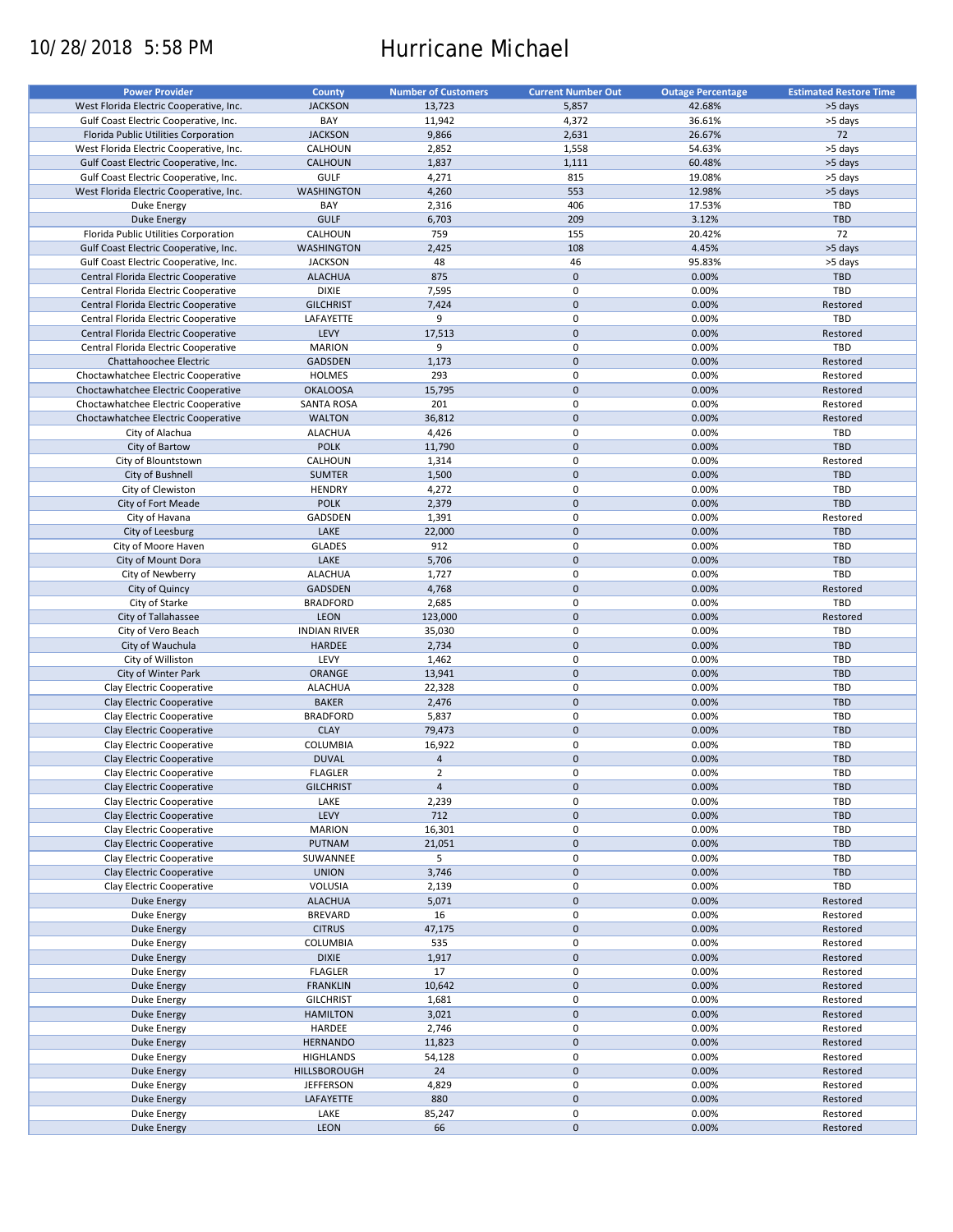# 10/28/2018 5:58 PM Hurricane Michael

| <b>JACKSON</b><br>13,723<br>5,857<br>42.68%<br>West Florida Electric Cooperative, Inc.<br>>5 days<br>BAY<br>11,942<br>4,372<br>36.61%<br>>5 days<br>Gulf Coast Electric Cooperative, Inc.<br>72<br><b>JACKSON</b><br>2,631<br>26.67%<br>Florida Public Utilities Corporation<br>9,866<br>>5 days<br>West Florida Electric Cooperative, Inc.<br>CALHOUN<br>2,852<br>1,558<br>54.63%<br>CALHOUN<br>1,111<br>60.48%<br>>5 days<br>Gulf Coast Electric Cooperative, Inc.<br>1,837<br>GULF<br>815<br>Gulf Coast Electric Cooperative, Inc.<br>4,271<br>19.08%<br>>5 days<br>553<br>12.98%<br>West Florida Electric Cooperative, Inc.<br><b>WASHINGTON</b><br>4,260<br>>5 days<br>BAY<br>TBD<br>Duke Energy<br>2,316<br>406<br>17.53%<br><b>GULF</b><br>209<br>3.12%<br><b>TBD</b><br><b>Duke Energy</b><br>6,703<br>72<br>759<br>20.42%<br>Florida Public Utilities Corporation<br>CALHOUN<br>155<br><b>WASHINGTON</b><br>2,425<br>108<br>4.45%<br>>5 days<br>Gulf Coast Electric Cooperative, Inc.<br><b>JACKSON</b><br>95.83%<br>Gulf Coast Electric Cooperative, Inc.<br>48<br>46<br>>5 days<br><b>ALACHUA</b><br>875<br>$\mathbf 0$<br>0.00%<br><b>TBD</b><br>Central Florida Electric Cooperative<br><b>DIXIE</b><br>7,595<br>0<br>0.00%<br>TBD<br>Central Florida Electric Cooperative<br>$\pmb{0}$<br>7,424<br>0.00%<br><b>GILCHRIST</b><br>Restored<br>Central Florida Electric Cooperative<br>LAFAYETTE<br>9<br>0<br>0.00%<br>TBD<br>Central Florida Electric Cooperative<br>$\pmb{0}$<br>LEVY<br>17,513<br>0.00%<br>Central Florida Electric Cooperative<br>Restored<br>$\mathbf 0$<br>TBD<br><b>MARION</b><br>9<br>0.00%<br>Central Florida Electric Cooperative<br>$\pmb{0}$<br>GADSDEN<br>1,173<br>0.00%<br>Chattahoochee Electric<br>Restored<br>$\mathbf 0$<br>293<br>0.00%<br>Restored<br>Choctawhatchee Electric Cooperative<br><b>HOLMES</b><br>$\pmb{0}$<br><b>OKALOOSA</b><br>15,795<br>0.00%<br>Restored<br>Choctawhatchee Electric Cooperative<br>$\mathbf 0$<br>201<br>0.00%<br>Restored<br>Choctawhatchee Electric Cooperative<br><b>SANTA ROSA</b><br>$\mathbf 0$<br>Choctawhatchee Electric Cooperative<br><b>WALTON</b><br>36,812<br>0.00%<br>Restored<br>$\mathbf 0$<br><b>ALACHUA</b><br>4,426<br>0.00%<br>TBD<br>City of Alachua<br>$\mathbf 0$<br><b>TBD</b><br><b>POLK</b><br>0.00%<br>City of Bartow<br>11,790<br>$\mathbf 0$<br>0.00%<br>CALHOUN<br>1,314<br>Restored<br>City of Blountstown<br>$\mathbf 0$<br>0.00%<br><b>TBD</b><br>City of Bushnell<br><b>SUMTER</b><br>1,500<br>City of Clewiston<br><b>HENDRY</b><br>4,272<br>0<br>0.00%<br>TBD<br>$\mathbf 0$<br><b>POLK</b><br>2,379<br><b>TBD</b><br>City of Fort Meade<br>0.00%<br>0<br>0.00%<br>City of Havana<br>GADSDEN<br>1,391<br>Restored<br>$\pmb{0}$<br>LAKE<br>22,000<br>0.00%<br><b>TBD</b><br>City of Leesburg<br>912<br>0<br>0.00%<br>TBD<br>City of Moore Haven<br><b>GLADES</b><br>$\mathbf 0$<br>LAKE<br>0.00%<br><b>TBD</b><br>City of Mount Dora<br>5,706<br>0<br>0.00%<br>TBD<br>City of Newberry<br><b>ALACHUA</b><br>1,727<br>$\mathbf 0$<br><b>GADSDEN</b><br>4,768<br>0.00%<br>City of Quincy<br>Restored<br>2,685<br>0<br>0.00%<br>TBD<br>City of Starke<br><b>BRADFORD</b><br>City of Tallahassee<br><b>LEON</b><br>123,000<br>$\mathbf 0$<br>0.00%<br>Restored<br>0<br>35,030<br>0.00%<br>TBD<br>City of Vero Beach<br><b>INDIAN RIVER</b><br>$\pmb{0}$<br><b>HARDEE</b><br>2,734<br>0.00%<br><b>TBD</b><br>City of Wauchula<br>0<br>LEVY<br>0.00%<br>TBD<br>City of Williston<br>1,462<br>$\pmb{0}$<br>ORANGE<br>13,941<br>0.00%<br><b>TBD</b><br>City of Winter Park<br>$\pmb{0}$<br><b>ALACHUA</b><br>0.00%<br>Clay Electric Cooperative<br>22,328<br>TBD<br>$\mathbf 0$<br><b>BAKER</b><br>0.00%<br><b>TBD</b><br>Clay Electric Cooperative<br>2,476<br>$\mathbf 0$<br><b>BRADFORD</b><br>0.00%<br>TBD<br>Clay Electric Cooperative<br>5,837<br><b>CLAY</b><br>$\pmb{0}$<br>0.00%<br><b>TBD</b><br>Clay Electric Cooperative<br>79,473<br>$\pmb{0}$<br>COLUMBIA<br>16,922<br>0.00%<br>TBD<br>Clay Electric Cooperative<br>$\pmb{0}$<br>Clay Electric Cooperative<br><b>DUVAL</b><br>$\overline{4}$<br>0.00%<br><b>TBD</b><br>$\overline{2}$<br>$\mathbf 0$<br><b>FLAGLER</b><br>0.00%<br><b>TBD</b><br>Clay Electric Cooperative<br>Clay Electric Cooperative<br>$\mathsf{O}\xspace$<br>0.00%<br><b>TBD</b><br><b>GILCHRIST</b><br>$\overline{4}$<br>0<br>Clay Electric Cooperative<br>LAKE<br>2,239<br>0.00%<br>TBD<br>$\pmb{0}$<br>LEVY<br>712<br>0.00%<br><b>TBD</b><br>Clay Electric Cooperative<br><b>MARION</b><br>16,301<br>0<br>0.00%<br>TBD<br>Clay Electric Cooperative<br>$\pmb{0}$<br>PUTNAM<br>21,051<br>0.00%<br><b>TBD</b><br>Clay Electric Cooperative<br>5<br>0<br>Clay Electric Cooperative<br>SUWANNEE<br>0.00%<br>TBD<br>$\pmb{0}$<br>0.00%<br>TBD<br>Clay Electric Cooperative<br><b>UNION</b><br>3,746<br>0<br>VOLUSIA<br>TBD<br>Clay Electric Cooperative<br>2,139<br>0.00%<br>$\pmb{0}$<br>0.00%<br>Duke Energy<br><b>ALACHUA</b><br>5,071<br>Restored<br>0<br>16<br>Duke Energy<br><b>BREVARD</b><br>0.00%<br>Restored<br>$\pmb{0}$<br><b>CITRUS</b><br>47,175<br>0.00%<br>Restored<br>Duke Energy<br>0<br>0.00%<br>Restored<br>Duke Energy<br><b>COLUMBIA</b><br>535<br>$\pmb{0}$<br><b>DIXIE</b><br>1,917<br>0.00%<br>Restored<br>Duke Energy<br>0<br>17<br>0.00%<br>Restored<br>Duke Energy<br><b>FLAGLER</b><br>$\pmb{0}$<br>10,642<br>0.00%<br>Restored<br><b>Duke Energy</b><br><b>FRANKLIN</b><br>0<br>0.00%<br>Restored<br>Duke Energy<br><b>GILCHRIST</b><br>1,681<br>$\pmb{0}$<br>3,021<br>0.00%<br>Restored<br><b>Duke Energy</b><br><b>HAMILTON</b><br>0<br>2,746<br>0.00%<br>Restored<br>Duke Energy<br>HARDEE<br>$\pmb{0}$<br>0.00%<br>Restored<br><b>Duke Energy</b><br><b>HERNANDO</b><br>11,823<br>$\pmb{0}$<br>0.00%<br>Restored<br>Duke Energy<br><b>HIGHLANDS</b><br>54,128<br>$\pmb{0}$<br>0.00%<br>Restored<br><b>Duke Energy</b><br>HILLSBOROUGH<br>24<br>$\pmb{0}$<br>4,829<br>0.00%<br>Restored<br>Duke Energy<br><b>JEFFERSON</b><br>$\pmb{0}$<br>LAFAYETTE<br>880<br>0.00%<br>Restored<br><b>Duke Energy</b><br>0<br>LAKE<br>85,247<br>0.00%<br>Restored<br>Duke Energy<br>$\pmb{0}$<br>LEON<br>66<br>0.00%<br>Restored<br>Duke Energy | <b>Power Provider</b> | <b>County</b> | <b>Number of Customers</b> | <b>Current Number Out</b> | <b>Outage Percentage</b> | <b>Estimated Restore Time</b> |
|---------------------------------------------------------------------------------------------------------------------------------------------------------------------------------------------------------------------------------------------------------------------------------------------------------------------------------------------------------------------------------------------------------------------------------------------------------------------------------------------------------------------------------------------------------------------------------------------------------------------------------------------------------------------------------------------------------------------------------------------------------------------------------------------------------------------------------------------------------------------------------------------------------------------------------------------------------------------------------------------------------------------------------------------------------------------------------------------------------------------------------------------------------------------------------------------------------------------------------------------------------------------------------------------------------------------------------------------------------------------------------------------------------------------------------------------------------------------------------------------------------------------------------------------------------------------------------------------------------------------------------------------------------------------------------------------------------------------------------------------------------------------------------------------------------------------------------------------------------------------------------------------------------------------------------------------------------------------------------------------------------------------------------------------------------------------------------------------------------------------------------------------------------------------------------------------------------------------------------------------------------------------------------------------------------------------------------------------------------------------------------------------------------------------------------------------------------------------------------------------------------------------------------------------------------------------------------------------------------------------------------------------------------------------------------------------------------------------------------------------------------------------------------------------------------------------------------------------------------------------------------------------------------------------------------------------------------------------------------------------------------------------------------------------------------------------------------------------------------------------------------------------------------------------------------------------------------------------------------------------------------------------------------------------------------------------------------------------------------------------------------------------------------------------------------------------------------------------------------------------------------------------------------------------------------------------------------------------------------------------------------------------------------------------------------------------------------------------------------------------------------------------------------------------------------------------------------------------------------------------------------------------------------------------------------------------------------------------------------------------------------------------------------------------------------------------------------------------------------------------------------------------------------------------------------------------------------------------------------------------------------------------------------------------------------------------------------------------------------------------------------------------------------------------------------------------------------------------------------------------------------------------------------------------------------------------------------------------------------------------------------------------------------------------------------------------------------------------------------------------------------------------------------------------------------------------------------------------------------------------------------------------------------------------------------------------------------------------------------------------------------------------------------------------------------------------------------------------------------------------------------------------------------------------------------------------------------------------------------------------------------------------------------------------------------------------------------------------------------------------------------------------------------------------------------------------------------------------------------------------------------------------------------------------------------------------------------------------------------------------------------------------------------------------------------------------------------------------------------------------------------------------------------------------------------------------------------------------------------------------------------------------------------------------------------------------------------------------------------------------------------------------------------------------------------------------------------------------------------------------------------------------------------------------------------------------------------------|-----------------------|---------------|----------------------------|---------------------------|--------------------------|-------------------------------|
|                                                                                                                                                                                                                                                                                                                                                                                                                                                                                                                                                                                                                                                                                                                                                                                                                                                                                                                                                                                                                                                                                                                                                                                                                                                                                                                                                                                                                                                                                                                                                                                                                                                                                                                                                                                                                                                                                                                                                                                                                                                                                                                                                                                                                                                                                                                                                                                                                                                                                                                                                                                                                                                                                                                                                                                                                                                                                                                                                                                                                                                                                                                                                                                                                                                                                                                                                                                                                                                                                                                                                                                                                                                                                                                                                                                                                                                                                                                                                                                                                                                                                                                                                                                                                                                                                                                                                                                                                                                                                                                                                                                                                                                                                                                                                                                                                                                                                                                                                                                                                                                                                                                                                                                                                                                                                                                                                                                                                                                                                                                                                                                                                                                                                                                                                                                                                                                                                                                                                                                                                                                                                                                                                                                                               |                       |               |                            |                           |                          |                               |
|                                                                                                                                                                                                                                                                                                                                                                                                                                                                                                                                                                                                                                                                                                                                                                                                                                                                                                                                                                                                                                                                                                                                                                                                                                                                                                                                                                                                                                                                                                                                                                                                                                                                                                                                                                                                                                                                                                                                                                                                                                                                                                                                                                                                                                                                                                                                                                                                                                                                                                                                                                                                                                                                                                                                                                                                                                                                                                                                                                                                                                                                                                                                                                                                                                                                                                                                                                                                                                                                                                                                                                                                                                                                                                                                                                                                                                                                                                                                                                                                                                                                                                                                                                                                                                                                                                                                                                                                                                                                                                                                                                                                                                                                                                                                                                                                                                                                                                                                                                                                                                                                                                                                                                                                                                                                                                                                                                                                                                                                                                                                                                                                                                                                                                                                                                                                                                                                                                                                                                                                                                                                                                                                                                                                               |                       |               |                            |                           |                          |                               |
|                                                                                                                                                                                                                                                                                                                                                                                                                                                                                                                                                                                                                                                                                                                                                                                                                                                                                                                                                                                                                                                                                                                                                                                                                                                                                                                                                                                                                                                                                                                                                                                                                                                                                                                                                                                                                                                                                                                                                                                                                                                                                                                                                                                                                                                                                                                                                                                                                                                                                                                                                                                                                                                                                                                                                                                                                                                                                                                                                                                                                                                                                                                                                                                                                                                                                                                                                                                                                                                                                                                                                                                                                                                                                                                                                                                                                                                                                                                                                                                                                                                                                                                                                                                                                                                                                                                                                                                                                                                                                                                                                                                                                                                                                                                                                                                                                                                                                                                                                                                                                                                                                                                                                                                                                                                                                                                                                                                                                                                                                                                                                                                                                                                                                                                                                                                                                                                                                                                                                                                                                                                                                                                                                                                                               |                       |               |                            |                           |                          |                               |
|                                                                                                                                                                                                                                                                                                                                                                                                                                                                                                                                                                                                                                                                                                                                                                                                                                                                                                                                                                                                                                                                                                                                                                                                                                                                                                                                                                                                                                                                                                                                                                                                                                                                                                                                                                                                                                                                                                                                                                                                                                                                                                                                                                                                                                                                                                                                                                                                                                                                                                                                                                                                                                                                                                                                                                                                                                                                                                                                                                                                                                                                                                                                                                                                                                                                                                                                                                                                                                                                                                                                                                                                                                                                                                                                                                                                                                                                                                                                                                                                                                                                                                                                                                                                                                                                                                                                                                                                                                                                                                                                                                                                                                                                                                                                                                                                                                                                                                                                                                                                                                                                                                                                                                                                                                                                                                                                                                                                                                                                                                                                                                                                                                                                                                                                                                                                                                                                                                                                                                                                                                                                                                                                                                                                               |                       |               |                            |                           |                          |                               |
|                                                                                                                                                                                                                                                                                                                                                                                                                                                                                                                                                                                                                                                                                                                                                                                                                                                                                                                                                                                                                                                                                                                                                                                                                                                                                                                                                                                                                                                                                                                                                                                                                                                                                                                                                                                                                                                                                                                                                                                                                                                                                                                                                                                                                                                                                                                                                                                                                                                                                                                                                                                                                                                                                                                                                                                                                                                                                                                                                                                                                                                                                                                                                                                                                                                                                                                                                                                                                                                                                                                                                                                                                                                                                                                                                                                                                                                                                                                                                                                                                                                                                                                                                                                                                                                                                                                                                                                                                                                                                                                                                                                                                                                                                                                                                                                                                                                                                                                                                                                                                                                                                                                                                                                                                                                                                                                                                                                                                                                                                                                                                                                                                                                                                                                                                                                                                                                                                                                                                                                                                                                                                                                                                                                                               |                       |               |                            |                           |                          |                               |
|                                                                                                                                                                                                                                                                                                                                                                                                                                                                                                                                                                                                                                                                                                                                                                                                                                                                                                                                                                                                                                                                                                                                                                                                                                                                                                                                                                                                                                                                                                                                                                                                                                                                                                                                                                                                                                                                                                                                                                                                                                                                                                                                                                                                                                                                                                                                                                                                                                                                                                                                                                                                                                                                                                                                                                                                                                                                                                                                                                                                                                                                                                                                                                                                                                                                                                                                                                                                                                                                                                                                                                                                                                                                                                                                                                                                                                                                                                                                                                                                                                                                                                                                                                                                                                                                                                                                                                                                                                                                                                                                                                                                                                                                                                                                                                                                                                                                                                                                                                                                                                                                                                                                                                                                                                                                                                                                                                                                                                                                                                                                                                                                                                                                                                                                                                                                                                                                                                                                                                                                                                                                                                                                                                                                               |                       |               |                            |                           |                          |                               |
|                                                                                                                                                                                                                                                                                                                                                                                                                                                                                                                                                                                                                                                                                                                                                                                                                                                                                                                                                                                                                                                                                                                                                                                                                                                                                                                                                                                                                                                                                                                                                                                                                                                                                                                                                                                                                                                                                                                                                                                                                                                                                                                                                                                                                                                                                                                                                                                                                                                                                                                                                                                                                                                                                                                                                                                                                                                                                                                                                                                                                                                                                                                                                                                                                                                                                                                                                                                                                                                                                                                                                                                                                                                                                                                                                                                                                                                                                                                                                                                                                                                                                                                                                                                                                                                                                                                                                                                                                                                                                                                                                                                                                                                                                                                                                                                                                                                                                                                                                                                                                                                                                                                                                                                                                                                                                                                                                                                                                                                                                                                                                                                                                                                                                                                                                                                                                                                                                                                                                                                                                                                                                                                                                                                                               |                       |               |                            |                           |                          |                               |
|                                                                                                                                                                                                                                                                                                                                                                                                                                                                                                                                                                                                                                                                                                                                                                                                                                                                                                                                                                                                                                                                                                                                                                                                                                                                                                                                                                                                                                                                                                                                                                                                                                                                                                                                                                                                                                                                                                                                                                                                                                                                                                                                                                                                                                                                                                                                                                                                                                                                                                                                                                                                                                                                                                                                                                                                                                                                                                                                                                                                                                                                                                                                                                                                                                                                                                                                                                                                                                                                                                                                                                                                                                                                                                                                                                                                                                                                                                                                                                                                                                                                                                                                                                                                                                                                                                                                                                                                                                                                                                                                                                                                                                                                                                                                                                                                                                                                                                                                                                                                                                                                                                                                                                                                                                                                                                                                                                                                                                                                                                                                                                                                                                                                                                                                                                                                                                                                                                                                                                                                                                                                                                                                                                                                               |                       |               |                            |                           |                          |                               |
|                                                                                                                                                                                                                                                                                                                                                                                                                                                                                                                                                                                                                                                                                                                                                                                                                                                                                                                                                                                                                                                                                                                                                                                                                                                                                                                                                                                                                                                                                                                                                                                                                                                                                                                                                                                                                                                                                                                                                                                                                                                                                                                                                                                                                                                                                                                                                                                                                                                                                                                                                                                                                                                                                                                                                                                                                                                                                                                                                                                                                                                                                                                                                                                                                                                                                                                                                                                                                                                                                                                                                                                                                                                                                                                                                                                                                                                                                                                                                                                                                                                                                                                                                                                                                                                                                                                                                                                                                                                                                                                                                                                                                                                                                                                                                                                                                                                                                                                                                                                                                                                                                                                                                                                                                                                                                                                                                                                                                                                                                                                                                                                                                                                                                                                                                                                                                                                                                                                                                                                                                                                                                                                                                                                                               |                       |               |                            |                           |                          |                               |
|                                                                                                                                                                                                                                                                                                                                                                                                                                                                                                                                                                                                                                                                                                                                                                                                                                                                                                                                                                                                                                                                                                                                                                                                                                                                                                                                                                                                                                                                                                                                                                                                                                                                                                                                                                                                                                                                                                                                                                                                                                                                                                                                                                                                                                                                                                                                                                                                                                                                                                                                                                                                                                                                                                                                                                                                                                                                                                                                                                                                                                                                                                                                                                                                                                                                                                                                                                                                                                                                                                                                                                                                                                                                                                                                                                                                                                                                                                                                                                                                                                                                                                                                                                                                                                                                                                                                                                                                                                                                                                                                                                                                                                                                                                                                                                                                                                                                                                                                                                                                                                                                                                                                                                                                                                                                                                                                                                                                                                                                                                                                                                                                                                                                                                                                                                                                                                                                                                                                                                                                                                                                                                                                                                                                               |                       |               |                            |                           |                          |                               |
|                                                                                                                                                                                                                                                                                                                                                                                                                                                                                                                                                                                                                                                                                                                                                                                                                                                                                                                                                                                                                                                                                                                                                                                                                                                                                                                                                                                                                                                                                                                                                                                                                                                                                                                                                                                                                                                                                                                                                                                                                                                                                                                                                                                                                                                                                                                                                                                                                                                                                                                                                                                                                                                                                                                                                                                                                                                                                                                                                                                                                                                                                                                                                                                                                                                                                                                                                                                                                                                                                                                                                                                                                                                                                                                                                                                                                                                                                                                                                                                                                                                                                                                                                                                                                                                                                                                                                                                                                                                                                                                                                                                                                                                                                                                                                                                                                                                                                                                                                                                                                                                                                                                                                                                                                                                                                                                                                                                                                                                                                                                                                                                                                                                                                                                                                                                                                                                                                                                                                                                                                                                                                                                                                                                                               |                       |               |                            |                           |                          |                               |
|                                                                                                                                                                                                                                                                                                                                                                                                                                                                                                                                                                                                                                                                                                                                                                                                                                                                                                                                                                                                                                                                                                                                                                                                                                                                                                                                                                                                                                                                                                                                                                                                                                                                                                                                                                                                                                                                                                                                                                                                                                                                                                                                                                                                                                                                                                                                                                                                                                                                                                                                                                                                                                                                                                                                                                                                                                                                                                                                                                                                                                                                                                                                                                                                                                                                                                                                                                                                                                                                                                                                                                                                                                                                                                                                                                                                                                                                                                                                                                                                                                                                                                                                                                                                                                                                                                                                                                                                                                                                                                                                                                                                                                                                                                                                                                                                                                                                                                                                                                                                                                                                                                                                                                                                                                                                                                                                                                                                                                                                                                                                                                                                                                                                                                                                                                                                                                                                                                                                                                                                                                                                                                                                                                                                               |                       |               |                            |                           |                          |                               |
|                                                                                                                                                                                                                                                                                                                                                                                                                                                                                                                                                                                                                                                                                                                                                                                                                                                                                                                                                                                                                                                                                                                                                                                                                                                                                                                                                                                                                                                                                                                                                                                                                                                                                                                                                                                                                                                                                                                                                                                                                                                                                                                                                                                                                                                                                                                                                                                                                                                                                                                                                                                                                                                                                                                                                                                                                                                                                                                                                                                                                                                                                                                                                                                                                                                                                                                                                                                                                                                                                                                                                                                                                                                                                                                                                                                                                                                                                                                                                                                                                                                                                                                                                                                                                                                                                                                                                                                                                                                                                                                                                                                                                                                                                                                                                                                                                                                                                                                                                                                                                                                                                                                                                                                                                                                                                                                                                                                                                                                                                                                                                                                                                                                                                                                                                                                                                                                                                                                                                                                                                                                                                                                                                                                                               |                       |               |                            |                           |                          |                               |
|                                                                                                                                                                                                                                                                                                                                                                                                                                                                                                                                                                                                                                                                                                                                                                                                                                                                                                                                                                                                                                                                                                                                                                                                                                                                                                                                                                                                                                                                                                                                                                                                                                                                                                                                                                                                                                                                                                                                                                                                                                                                                                                                                                                                                                                                                                                                                                                                                                                                                                                                                                                                                                                                                                                                                                                                                                                                                                                                                                                                                                                                                                                                                                                                                                                                                                                                                                                                                                                                                                                                                                                                                                                                                                                                                                                                                                                                                                                                                                                                                                                                                                                                                                                                                                                                                                                                                                                                                                                                                                                                                                                                                                                                                                                                                                                                                                                                                                                                                                                                                                                                                                                                                                                                                                                                                                                                                                                                                                                                                                                                                                                                                                                                                                                                                                                                                                                                                                                                                                                                                                                                                                                                                                                                               |                       |               |                            |                           |                          |                               |
|                                                                                                                                                                                                                                                                                                                                                                                                                                                                                                                                                                                                                                                                                                                                                                                                                                                                                                                                                                                                                                                                                                                                                                                                                                                                                                                                                                                                                                                                                                                                                                                                                                                                                                                                                                                                                                                                                                                                                                                                                                                                                                                                                                                                                                                                                                                                                                                                                                                                                                                                                                                                                                                                                                                                                                                                                                                                                                                                                                                                                                                                                                                                                                                                                                                                                                                                                                                                                                                                                                                                                                                                                                                                                                                                                                                                                                                                                                                                                                                                                                                                                                                                                                                                                                                                                                                                                                                                                                                                                                                                                                                                                                                                                                                                                                                                                                                                                                                                                                                                                                                                                                                                                                                                                                                                                                                                                                                                                                                                                                                                                                                                                                                                                                                                                                                                                                                                                                                                                                                                                                                                                                                                                                                                               |                       |               |                            |                           |                          |                               |
|                                                                                                                                                                                                                                                                                                                                                                                                                                                                                                                                                                                                                                                                                                                                                                                                                                                                                                                                                                                                                                                                                                                                                                                                                                                                                                                                                                                                                                                                                                                                                                                                                                                                                                                                                                                                                                                                                                                                                                                                                                                                                                                                                                                                                                                                                                                                                                                                                                                                                                                                                                                                                                                                                                                                                                                                                                                                                                                                                                                                                                                                                                                                                                                                                                                                                                                                                                                                                                                                                                                                                                                                                                                                                                                                                                                                                                                                                                                                                                                                                                                                                                                                                                                                                                                                                                                                                                                                                                                                                                                                                                                                                                                                                                                                                                                                                                                                                                                                                                                                                                                                                                                                                                                                                                                                                                                                                                                                                                                                                                                                                                                                                                                                                                                                                                                                                                                                                                                                                                                                                                                                                                                                                                                                               |                       |               |                            |                           |                          |                               |
|                                                                                                                                                                                                                                                                                                                                                                                                                                                                                                                                                                                                                                                                                                                                                                                                                                                                                                                                                                                                                                                                                                                                                                                                                                                                                                                                                                                                                                                                                                                                                                                                                                                                                                                                                                                                                                                                                                                                                                                                                                                                                                                                                                                                                                                                                                                                                                                                                                                                                                                                                                                                                                                                                                                                                                                                                                                                                                                                                                                                                                                                                                                                                                                                                                                                                                                                                                                                                                                                                                                                                                                                                                                                                                                                                                                                                                                                                                                                                                                                                                                                                                                                                                                                                                                                                                                                                                                                                                                                                                                                                                                                                                                                                                                                                                                                                                                                                                                                                                                                                                                                                                                                                                                                                                                                                                                                                                                                                                                                                                                                                                                                                                                                                                                                                                                                                                                                                                                                                                                                                                                                                                                                                                                                               |                       |               |                            |                           |                          |                               |
|                                                                                                                                                                                                                                                                                                                                                                                                                                                                                                                                                                                                                                                                                                                                                                                                                                                                                                                                                                                                                                                                                                                                                                                                                                                                                                                                                                                                                                                                                                                                                                                                                                                                                                                                                                                                                                                                                                                                                                                                                                                                                                                                                                                                                                                                                                                                                                                                                                                                                                                                                                                                                                                                                                                                                                                                                                                                                                                                                                                                                                                                                                                                                                                                                                                                                                                                                                                                                                                                                                                                                                                                                                                                                                                                                                                                                                                                                                                                                                                                                                                                                                                                                                                                                                                                                                                                                                                                                                                                                                                                                                                                                                                                                                                                                                                                                                                                                                                                                                                                                                                                                                                                                                                                                                                                                                                                                                                                                                                                                                                                                                                                                                                                                                                                                                                                                                                                                                                                                                                                                                                                                                                                                                                                               |                       |               |                            |                           |                          |                               |
|                                                                                                                                                                                                                                                                                                                                                                                                                                                                                                                                                                                                                                                                                                                                                                                                                                                                                                                                                                                                                                                                                                                                                                                                                                                                                                                                                                                                                                                                                                                                                                                                                                                                                                                                                                                                                                                                                                                                                                                                                                                                                                                                                                                                                                                                                                                                                                                                                                                                                                                                                                                                                                                                                                                                                                                                                                                                                                                                                                                                                                                                                                                                                                                                                                                                                                                                                                                                                                                                                                                                                                                                                                                                                                                                                                                                                                                                                                                                                                                                                                                                                                                                                                                                                                                                                                                                                                                                                                                                                                                                                                                                                                                                                                                                                                                                                                                                                                                                                                                                                                                                                                                                                                                                                                                                                                                                                                                                                                                                                                                                                                                                                                                                                                                                                                                                                                                                                                                                                                                                                                                                                                                                                                                                               |                       |               |                            |                           |                          |                               |
|                                                                                                                                                                                                                                                                                                                                                                                                                                                                                                                                                                                                                                                                                                                                                                                                                                                                                                                                                                                                                                                                                                                                                                                                                                                                                                                                                                                                                                                                                                                                                                                                                                                                                                                                                                                                                                                                                                                                                                                                                                                                                                                                                                                                                                                                                                                                                                                                                                                                                                                                                                                                                                                                                                                                                                                                                                                                                                                                                                                                                                                                                                                                                                                                                                                                                                                                                                                                                                                                                                                                                                                                                                                                                                                                                                                                                                                                                                                                                                                                                                                                                                                                                                                                                                                                                                                                                                                                                                                                                                                                                                                                                                                                                                                                                                                                                                                                                                                                                                                                                                                                                                                                                                                                                                                                                                                                                                                                                                                                                                                                                                                                                                                                                                                                                                                                                                                                                                                                                                                                                                                                                                                                                                                                               |                       |               |                            |                           |                          |                               |
|                                                                                                                                                                                                                                                                                                                                                                                                                                                                                                                                                                                                                                                                                                                                                                                                                                                                                                                                                                                                                                                                                                                                                                                                                                                                                                                                                                                                                                                                                                                                                                                                                                                                                                                                                                                                                                                                                                                                                                                                                                                                                                                                                                                                                                                                                                                                                                                                                                                                                                                                                                                                                                                                                                                                                                                                                                                                                                                                                                                                                                                                                                                                                                                                                                                                                                                                                                                                                                                                                                                                                                                                                                                                                                                                                                                                                                                                                                                                                                                                                                                                                                                                                                                                                                                                                                                                                                                                                                                                                                                                                                                                                                                                                                                                                                                                                                                                                                                                                                                                                                                                                                                                                                                                                                                                                                                                                                                                                                                                                                                                                                                                                                                                                                                                                                                                                                                                                                                                                                                                                                                                                                                                                                                                               |                       |               |                            |                           |                          |                               |
|                                                                                                                                                                                                                                                                                                                                                                                                                                                                                                                                                                                                                                                                                                                                                                                                                                                                                                                                                                                                                                                                                                                                                                                                                                                                                                                                                                                                                                                                                                                                                                                                                                                                                                                                                                                                                                                                                                                                                                                                                                                                                                                                                                                                                                                                                                                                                                                                                                                                                                                                                                                                                                                                                                                                                                                                                                                                                                                                                                                                                                                                                                                                                                                                                                                                                                                                                                                                                                                                                                                                                                                                                                                                                                                                                                                                                                                                                                                                                                                                                                                                                                                                                                                                                                                                                                                                                                                                                                                                                                                                                                                                                                                                                                                                                                                                                                                                                                                                                                                                                                                                                                                                                                                                                                                                                                                                                                                                                                                                                                                                                                                                                                                                                                                                                                                                                                                                                                                                                                                                                                                                                                                                                                                                               |                       |               |                            |                           |                          |                               |
|                                                                                                                                                                                                                                                                                                                                                                                                                                                                                                                                                                                                                                                                                                                                                                                                                                                                                                                                                                                                                                                                                                                                                                                                                                                                                                                                                                                                                                                                                                                                                                                                                                                                                                                                                                                                                                                                                                                                                                                                                                                                                                                                                                                                                                                                                                                                                                                                                                                                                                                                                                                                                                                                                                                                                                                                                                                                                                                                                                                                                                                                                                                                                                                                                                                                                                                                                                                                                                                                                                                                                                                                                                                                                                                                                                                                                                                                                                                                                                                                                                                                                                                                                                                                                                                                                                                                                                                                                                                                                                                                                                                                                                                                                                                                                                                                                                                                                                                                                                                                                                                                                                                                                                                                                                                                                                                                                                                                                                                                                                                                                                                                                                                                                                                                                                                                                                                                                                                                                                                                                                                                                                                                                                                                               |                       |               |                            |                           |                          |                               |
|                                                                                                                                                                                                                                                                                                                                                                                                                                                                                                                                                                                                                                                                                                                                                                                                                                                                                                                                                                                                                                                                                                                                                                                                                                                                                                                                                                                                                                                                                                                                                                                                                                                                                                                                                                                                                                                                                                                                                                                                                                                                                                                                                                                                                                                                                                                                                                                                                                                                                                                                                                                                                                                                                                                                                                                                                                                                                                                                                                                                                                                                                                                                                                                                                                                                                                                                                                                                                                                                                                                                                                                                                                                                                                                                                                                                                                                                                                                                                                                                                                                                                                                                                                                                                                                                                                                                                                                                                                                                                                                                                                                                                                                                                                                                                                                                                                                                                                                                                                                                                                                                                                                                                                                                                                                                                                                                                                                                                                                                                                                                                                                                                                                                                                                                                                                                                                                                                                                                                                                                                                                                                                                                                                                                               |                       |               |                            |                           |                          |                               |
|                                                                                                                                                                                                                                                                                                                                                                                                                                                                                                                                                                                                                                                                                                                                                                                                                                                                                                                                                                                                                                                                                                                                                                                                                                                                                                                                                                                                                                                                                                                                                                                                                                                                                                                                                                                                                                                                                                                                                                                                                                                                                                                                                                                                                                                                                                                                                                                                                                                                                                                                                                                                                                                                                                                                                                                                                                                                                                                                                                                                                                                                                                                                                                                                                                                                                                                                                                                                                                                                                                                                                                                                                                                                                                                                                                                                                                                                                                                                                                                                                                                                                                                                                                                                                                                                                                                                                                                                                                                                                                                                                                                                                                                                                                                                                                                                                                                                                                                                                                                                                                                                                                                                                                                                                                                                                                                                                                                                                                                                                                                                                                                                                                                                                                                                                                                                                                                                                                                                                                                                                                                                                                                                                                                                               |                       |               |                            |                           |                          |                               |
|                                                                                                                                                                                                                                                                                                                                                                                                                                                                                                                                                                                                                                                                                                                                                                                                                                                                                                                                                                                                                                                                                                                                                                                                                                                                                                                                                                                                                                                                                                                                                                                                                                                                                                                                                                                                                                                                                                                                                                                                                                                                                                                                                                                                                                                                                                                                                                                                                                                                                                                                                                                                                                                                                                                                                                                                                                                                                                                                                                                                                                                                                                                                                                                                                                                                                                                                                                                                                                                                                                                                                                                                                                                                                                                                                                                                                                                                                                                                                                                                                                                                                                                                                                                                                                                                                                                                                                                                                                                                                                                                                                                                                                                                                                                                                                                                                                                                                                                                                                                                                                                                                                                                                                                                                                                                                                                                                                                                                                                                                                                                                                                                                                                                                                                                                                                                                                                                                                                                                                                                                                                                                                                                                                                                               |                       |               |                            |                           |                          |                               |
|                                                                                                                                                                                                                                                                                                                                                                                                                                                                                                                                                                                                                                                                                                                                                                                                                                                                                                                                                                                                                                                                                                                                                                                                                                                                                                                                                                                                                                                                                                                                                                                                                                                                                                                                                                                                                                                                                                                                                                                                                                                                                                                                                                                                                                                                                                                                                                                                                                                                                                                                                                                                                                                                                                                                                                                                                                                                                                                                                                                                                                                                                                                                                                                                                                                                                                                                                                                                                                                                                                                                                                                                                                                                                                                                                                                                                                                                                                                                                                                                                                                                                                                                                                                                                                                                                                                                                                                                                                                                                                                                                                                                                                                                                                                                                                                                                                                                                                                                                                                                                                                                                                                                                                                                                                                                                                                                                                                                                                                                                                                                                                                                                                                                                                                                                                                                                                                                                                                                                                                                                                                                                                                                                                                                               |                       |               |                            |                           |                          |                               |
|                                                                                                                                                                                                                                                                                                                                                                                                                                                                                                                                                                                                                                                                                                                                                                                                                                                                                                                                                                                                                                                                                                                                                                                                                                                                                                                                                                                                                                                                                                                                                                                                                                                                                                                                                                                                                                                                                                                                                                                                                                                                                                                                                                                                                                                                                                                                                                                                                                                                                                                                                                                                                                                                                                                                                                                                                                                                                                                                                                                                                                                                                                                                                                                                                                                                                                                                                                                                                                                                                                                                                                                                                                                                                                                                                                                                                                                                                                                                                                                                                                                                                                                                                                                                                                                                                                                                                                                                                                                                                                                                                                                                                                                                                                                                                                                                                                                                                                                                                                                                                                                                                                                                                                                                                                                                                                                                                                                                                                                                                                                                                                                                                                                                                                                                                                                                                                                                                                                                                                                                                                                                                                                                                                                                               |                       |               |                            |                           |                          |                               |
|                                                                                                                                                                                                                                                                                                                                                                                                                                                                                                                                                                                                                                                                                                                                                                                                                                                                                                                                                                                                                                                                                                                                                                                                                                                                                                                                                                                                                                                                                                                                                                                                                                                                                                                                                                                                                                                                                                                                                                                                                                                                                                                                                                                                                                                                                                                                                                                                                                                                                                                                                                                                                                                                                                                                                                                                                                                                                                                                                                                                                                                                                                                                                                                                                                                                                                                                                                                                                                                                                                                                                                                                                                                                                                                                                                                                                                                                                                                                                                                                                                                                                                                                                                                                                                                                                                                                                                                                                                                                                                                                                                                                                                                                                                                                                                                                                                                                                                                                                                                                                                                                                                                                                                                                                                                                                                                                                                                                                                                                                                                                                                                                                                                                                                                                                                                                                                                                                                                                                                                                                                                                                                                                                                                                               |                       |               |                            |                           |                          |                               |
|                                                                                                                                                                                                                                                                                                                                                                                                                                                                                                                                                                                                                                                                                                                                                                                                                                                                                                                                                                                                                                                                                                                                                                                                                                                                                                                                                                                                                                                                                                                                                                                                                                                                                                                                                                                                                                                                                                                                                                                                                                                                                                                                                                                                                                                                                                                                                                                                                                                                                                                                                                                                                                                                                                                                                                                                                                                                                                                                                                                                                                                                                                                                                                                                                                                                                                                                                                                                                                                                                                                                                                                                                                                                                                                                                                                                                                                                                                                                                                                                                                                                                                                                                                                                                                                                                                                                                                                                                                                                                                                                                                                                                                                                                                                                                                                                                                                                                                                                                                                                                                                                                                                                                                                                                                                                                                                                                                                                                                                                                                                                                                                                                                                                                                                                                                                                                                                                                                                                                                                                                                                                                                                                                                                                               |                       |               |                            |                           |                          |                               |
|                                                                                                                                                                                                                                                                                                                                                                                                                                                                                                                                                                                                                                                                                                                                                                                                                                                                                                                                                                                                                                                                                                                                                                                                                                                                                                                                                                                                                                                                                                                                                                                                                                                                                                                                                                                                                                                                                                                                                                                                                                                                                                                                                                                                                                                                                                                                                                                                                                                                                                                                                                                                                                                                                                                                                                                                                                                                                                                                                                                                                                                                                                                                                                                                                                                                                                                                                                                                                                                                                                                                                                                                                                                                                                                                                                                                                                                                                                                                                                                                                                                                                                                                                                                                                                                                                                                                                                                                                                                                                                                                                                                                                                                                                                                                                                                                                                                                                                                                                                                                                                                                                                                                                                                                                                                                                                                                                                                                                                                                                                                                                                                                                                                                                                                                                                                                                                                                                                                                                                                                                                                                                                                                                                                                               |                       |               |                            |                           |                          |                               |
|                                                                                                                                                                                                                                                                                                                                                                                                                                                                                                                                                                                                                                                                                                                                                                                                                                                                                                                                                                                                                                                                                                                                                                                                                                                                                                                                                                                                                                                                                                                                                                                                                                                                                                                                                                                                                                                                                                                                                                                                                                                                                                                                                                                                                                                                                                                                                                                                                                                                                                                                                                                                                                                                                                                                                                                                                                                                                                                                                                                                                                                                                                                                                                                                                                                                                                                                                                                                                                                                                                                                                                                                                                                                                                                                                                                                                                                                                                                                                                                                                                                                                                                                                                                                                                                                                                                                                                                                                                                                                                                                                                                                                                                                                                                                                                                                                                                                                                                                                                                                                                                                                                                                                                                                                                                                                                                                                                                                                                                                                                                                                                                                                                                                                                                                                                                                                                                                                                                                                                                                                                                                                                                                                                                                               |                       |               |                            |                           |                          |                               |
|                                                                                                                                                                                                                                                                                                                                                                                                                                                                                                                                                                                                                                                                                                                                                                                                                                                                                                                                                                                                                                                                                                                                                                                                                                                                                                                                                                                                                                                                                                                                                                                                                                                                                                                                                                                                                                                                                                                                                                                                                                                                                                                                                                                                                                                                                                                                                                                                                                                                                                                                                                                                                                                                                                                                                                                                                                                                                                                                                                                                                                                                                                                                                                                                                                                                                                                                                                                                                                                                                                                                                                                                                                                                                                                                                                                                                                                                                                                                                                                                                                                                                                                                                                                                                                                                                                                                                                                                                                                                                                                                                                                                                                                                                                                                                                                                                                                                                                                                                                                                                                                                                                                                                                                                                                                                                                                                                                                                                                                                                                                                                                                                                                                                                                                                                                                                                                                                                                                                                                                                                                                                                                                                                                                                               |                       |               |                            |                           |                          |                               |
|                                                                                                                                                                                                                                                                                                                                                                                                                                                                                                                                                                                                                                                                                                                                                                                                                                                                                                                                                                                                                                                                                                                                                                                                                                                                                                                                                                                                                                                                                                                                                                                                                                                                                                                                                                                                                                                                                                                                                                                                                                                                                                                                                                                                                                                                                                                                                                                                                                                                                                                                                                                                                                                                                                                                                                                                                                                                                                                                                                                                                                                                                                                                                                                                                                                                                                                                                                                                                                                                                                                                                                                                                                                                                                                                                                                                                                                                                                                                                                                                                                                                                                                                                                                                                                                                                                                                                                                                                                                                                                                                                                                                                                                                                                                                                                                                                                                                                                                                                                                                                                                                                                                                                                                                                                                                                                                                                                                                                                                                                                                                                                                                                                                                                                                                                                                                                                                                                                                                                                                                                                                                                                                                                                                                               |                       |               |                            |                           |                          |                               |
|                                                                                                                                                                                                                                                                                                                                                                                                                                                                                                                                                                                                                                                                                                                                                                                                                                                                                                                                                                                                                                                                                                                                                                                                                                                                                                                                                                                                                                                                                                                                                                                                                                                                                                                                                                                                                                                                                                                                                                                                                                                                                                                                                                                                                                                                                                                                                                                                                                                                                                                                                                                                                                                                                                                                                                                                                                                                                                                                                                                                                                                                                                                                                                                                                                                                                                                                                                                                                                                                                                                                                                                                                                                                                                                                                                                                                                                                                                                                                                                                                                                                                                                                                                                                                                                                                                                                                                                                                                                                                                                                                                                                                                                                                                                                                                                                                                                                                                                                                                                                                                                                                                                                                                                                                                                                                                                                                                                                                                                                                                                                                                                                                                                                                                                                                                                                                                                                                                                                                                                                                                                                                                                                                                                                               |                       |               |                            |                           |                          |                               |
|                                                                                                                                                                                                                                                                                                                                                                                                                                                                                                                                                                                                                                                                                                                                                                                                                                                                                                                                                                                                                                                                                                                                                                                                                                                                                                                                                                                                                                                                                                                                                                                                                                                                                                                                                                                                                                                                                                                                                                                                                                                                                                                                                                                                                                                                                                                                                                                                                                                                                                                                                                                                                                                                                                                                                                                                                                                                                                                                                                                                                                                                                                                                                                                                                                                                                                                                                                                                                                                                                                                                                                                                                                                                                                                                                                                                                                                                                                                                                                                                                                                                                                                                                                                                                                                                                                                                                                                                                                                                                                                                                                                                                                                                                                                                                                                                                                                                                                                                                                                                                                                                                                                                                                                                                                                                                                                                                                                                                                                                                                                                                                                                                                                                                                                                                                                                                                                                                                                                                                                                                                                                                                                                                                                                               |                       |               |                            |                           |                          |                               |
|                                                                                                                                                                                                                                                                                                                                                                                                                                                                                                                                                                                                                                                                                                                                                                                                                                                                                                                                                                                                                                                                                                                                                                                                                                                                                                                                                                                                                                                                                                                                                                                                                                                                                                                                                                                                                                                                                                                                                                                                                                                                                                                                                                                                                                                                                                                                                                                                                                                                                                                                                                                                                                                                                                                                                                                                                                                                                                                                                                                                                                                                                                                                                                                                                                                                                                                                                                                                                                                                                                                                                                                                                                                                                                                                                                                                                                                                                                                                                                                                                                                                                                                                                                                                                                                                                                                                                                                                                                                                                                                                                                                                                                                                                                                                                                                                                                                                                                                                                                                                                                                                                                                                                                                                                                                                                                                                                                                                                                                                                                                                                                                                                                                                                                                                                                                                                                                                                                                                                                                                                                                                                                                                                                                                               |                       |               |                            |                           |                          |                               |
|                                                                                                                                                                                                                                                                                                                                                                                                                                                                                                                                                                                                                                                                                                                                                                                                                                                                                                                                                                                                                                                                                                                                                                                                                                                                                                                                                                                                                                                                                                                                                                                                                                                                                                                                                                                                                                                                                                                                                                                                                                                                                                                                                                                                                                                                                                                                                                                                                                                                                                                                                                                                                                                                                                                                                                                                                                                                                                                                                                                                                                                                                                                                                                                                                                                                                                                                                                                                                                                                                                                                                                                                                                                                                                                                                                                                                                                                                                                                                                                                                                                                                                                                                                                                                                                                                                                                                                                                                                                                                                                                                                                                                                                                                                                                                                                                                                                                                                                                                                                                                                                                                                                                                                                                                                                                                                                                                                                                                                                                                                                                                                                                                                                                                                                                                                                                                                                                                                                                                                                                                                                                                                                                                                                                               |                       |               |                            |                           |                          |                               |
|                                                                                                                                                                                                                                                                                                                                                                                                                                                                                                                                                                                                                                                                                                                                                                                                                                                                                                                                                                                                                                                                                                                                                                                                                                                                                                                                                                                                                                                                                                                                                                                                                                                                                                                                                                                                                                                                                                                                                                                                                                                                                                                                                                                                                                                                                                                                                                                                                                                                                                                                                                                                                                                                                                                                                                                                                                                                                                                                                                                                                                                                                                                                                                                                                                                                                                                                                                                                                                                                                                                                                                                                                                                                                                                                                                                                                                                                                                                                                                                                                                                                                                                                                                                                                                                                                                                                                                                                                                                                                                                                                                                                                                                                                                                                                                                                                                                                                                                                                                                                                                                                                                                                                                                                                                                                                                                                                                                                                                                                                                                                                                                                                                                                                                                                                                                                                                                                                                                                                                                                                                                                                                                                                                                                               |                       |               |                            |                           |                          |                               |
|                                                                                                                                                                                                                                                                                                                                                                                                                                                                                                                                                                                                                                                                                                                                                                                                                                                                                                                                                                                                                                                                                                                                                                                                                                                                                                                                                                                                                                                                                                                                                                                                                                                                                                                                                                                                                                                                                                                                                                                                                                                                                                                                                                                                                                                                                                                                                                                                                                                                                                                                                                                                                                                                                                                                                                                                                                                                                                                                                                                                                                                                                                                                                                                                                                                                                                                                                                                                                                                                                                                                                                                                                                                                                                                                                                                                                                                                                                                                                                                                                                                                                                                                                                                                                                                                                                                                                                                                                                                                                                                                                                                                                                                                                                                                                                                                                                                                                                                                                                                                                                                                                                                                                                                                                                                                                                                                                                                                                                                                                                                                                                                                                                                                                                                                                                                                                                                                                                                                                                                                                                                                                                                                                                                                               |                       |               |                            |                           |                          |                               |
|                                                                                                                                                                                                                                                                                                                                                                                                                                                                                                                                                                                                                                                                                                                                                                                                                                                                                                                                                                                                                                                                                                                                                                                                                                                                                                                                                                                                                                                                                                                                                                                                                                                                                                                                                                                                                                                                                                                                                                                                                                                                                                                                                                                                                                                                                                                                                                                                                                                                                                                                                                                                                                                                                                                                                                                                                                                                                                                                                                                                                                                                                                                                                                                                                                                                                                                                                                                                                                                                                                                                                                                                                                                                                                                                                                                                                                                                                                                                                                                                                                                                                                                                                                                                                                                                                                                                                                                                                                                                                                                                                                                                                                                                                                                                                                                                                                                                                                                                                                                                                                                                                                                                                                                                                                                                                                                                                                                                                                                                                                                                                                                                                                                                                                                                                                                                                                                                                                                                                                                                                                                                                                                                                                                                               |                       |               |                            |                           |                          |                               |
|                                                                                                                                                                                                                                                                                                                                                                                                                                                                                                                                                                                                                                                                                                                                                                                                                                                                                                                                                                                                                                                                                                                                                                                                                                                                                                                                                                                                                                                                                                                                                                                                                                                                                                                                                                                                                                                                                                                                                                                                                                                                                                                                                                                                                                                                                                                                                                                                                                                                                                                                                                                                                                                                                                                                                                                                                                                                                                                                                                                                                                                                                                                                                                                                                                                                                                                                                                                                                                                                                                                                                                                                                                                                                                                                                                                                                                                                                                                                                                                                                                                                                                                                                                                                                                                                                                                                                                                                                                                                                                                                                                                                                                                                                                                                                                                                                                                                                                                                                                                                                                                                                                                                                                                                                                                                                                                                                                                                                                                                                                                                                                                                                                                                                                                                                                                                                                                                                                                                                                                                                                                                                                                                                                                                               |                       |               |                            |                           |                          |                               |
|                                                                                                                                                                                                                                                                                                                                                                                                                                                                                                                                                                                                                                                                                                                                                                                                                                                                                                                                                                                                                                                                                                                                                                                                                                                                                                                                                                                                                                                                                                                                                                                                                                                                                                                                                                                                                                                                                                                                                                                                                                                                                                                                                                                                                                                                                                                                                                                                                                                                                                                                                                                                                                                                                                                                                                                                                                                                                                                                                                                                                                                                                                                                                                                                                                                                                                                                                                                                                                                                                                                                                                                                                                                                                                                                                                                                                                                                                                                                                                                                                                                                                                                                                                                                                                                                                                                                                                                                                                                                                                                                                                                                                                                                                                                                                                                                                                                                                                                                                                                                                                                                                                                                                                                                                                                                                                                                                                                                                                                                                                                                                                                                                                                                                                                                                                                                                                                                                                                                                                                                                                                                                                                                                                                                               |                       |               |                            |                           |                          |                               |
|                                                                                                                                                                                                                                                                                                                                                                                                                                                                                                                                                                                                                                                                                                                                                                                                                                                                                                                                                                                                                                                                                                                                                                                                                                                                                                                                                                                                                                                                                                                                                                                                                                                                                                                                                                                                                                                                                                                                                                                                                                                                                                                                                                                                                                                                                                                                                                                                                                                                                                                                                                                                                                                                                                                                                                                                                                                                                                                                                                                                                                                                                                                                                                                                                                                                                                                                                                                                                                                                                                                                                                                                                                                                                                                                                                                                                                                                                                                                                                                                                                                                                                                                                                                                                                                                                                                                                                                                                                                                                                                                                                                                                                                                                                                                                                                                                                                                                                                                                                                                                                                                                                                                                                                                                                                                                                                                                                                                                                                                                                                                                                                                                                                                                                                                                                                                                                                                                                                                                                                                                                                                                                                                                                                                               |                       |               |                            |                           |                          |                               |
|                                                                                                                                                                                                                                                                                                                                                                                                                                                                                                                                                                                                                                                                                                                                                                                                                                                                                                                                                                                                                                                                                                                                                                                                                                                                                                                                                                                                                                                                                                                                                                                                                                                                                                                                                                                                                                                                                                                                                                                                                                                                                                                                                                                                                                                                                                                                                                                                                                                                                                                                                                                                                                                                                                                                                                                                                                                                                                                                                                                                                                                                                                                                                                                                                                                                                                                                                                                                                                                                                                                                                                                                                                                                                                                                                                                                                                                                                                                                                                                                                                                                                                                                                                                                                                                                                                                                                                                                                                                                                                                                                                                                                                                                                                                                                                                                                                                                                                                                                                                                                                                                                                                                                                                                                                                                                                                                                                                                                                                                                                                                                                                                                                                                                                                                                                                                                                                                                                                                                                                                                                                                                                                                                                                                               |                       |               |                            |                           |                          |                               |
|                                                                                                                                                                                                                                                                                                                                                                                                                                                                                                                                                                                                                                                                                                                                                                                                                                                                                                                                                                                                                                                                                                                                                                                                                                                                                                                                                                                                                                                                                                                                                                                                                                                                                                                                                                                                                                                                                                                                                                                                                                                                                                                                                                                                                                                                                                                                                                                                                                                                                                                                                                                                                                                                                                                                                                                                                                                                                                                                                                                                                                                                                                                                                                                                                                                                                                                                                                                                                                                                                                                                                                                                                                                                                                                                                                                                                                                                                                                                                                                                                                                                                                                                                                                                                                                                                                                                                                                                                                                                                                                                                                                                                                                                                                                                                                                                                                                                                                                                                                                                                                                                                                                                                                                                                                                                                                                                                                                                                                                                                                                                                                                                                                                                                                                                                                                                                                                                                                                                                                                                                                                                                                                                                                                                               |                       |               |                            |                           |                          |                               |
|                                                                                                                                                                                                                                                                                                                                                                                                                                                                                                                                                                                                                                                                                                                                                                                                                                                                                                                                                                                                                                                                                                                                                                                                                                                                                                                                                                                                                                                                                                                                                                                                                                                                                                                                                                                                                                                                                                                                                                                                                                                                                                                                                                                                                                                                                                                                                                                                                                                                                                                                                                                                                                                                                                                                                                                                                                                                                                                                                                                                                                                                                                                                                                                                                                                                                                                                                                                                                                                                                                                                                                                                                                                                                                                                                                                                                                                                                                                                                                                                                                                                                                                                                                                                                                                                                                                                                                                                                                                                                                                                                                                                                                                                                                                                                                                                                                                                                                                                                                                                                                                                                                                                                                                                                                                                                                                                                                                                                                                                                                                                                                                                                                                                                                                                                                                                                                                                                                                                                                                                                                                                                                                                                                                                               |                       |               |                            |                           |                          |                               |
|                                                                                                                                                                                                                                                                                                                                                                                                                                                                                                                                                                                                                                                                                                                                                                                                                                                                                                                                                                                                                                                                                                                                                                                                                                                                                                                                                                                                                                                                                                                                                                                                                                                                                                                                                                                                                                                                                                                                                                                                                                                                                                                                                                                                                                                                                                                                                                                                                                                                                                                                                                                                                                                                                                                                                                                                                                                                                                                                                                                                                                                                                                                                                                                                                                                                                                                                                                                                                                                                                                                                                                                                                                                                                                                                                                                                                                                                                                                                                                                                                                                                                                                                                                                                                                                                                                                                                                                                                                                                                                                                                                                                                                                                                                                                                                                                                                                                                                                                                                                                                                                                                                                                                                                                                                                                                                                                                                                                                                                                                                                                                                                                                                                                                                                                                                                                                                                                                                                                                                                                                                                                                                                                                                                                               |                       |               |                            |                           |                          |                               |
|                                                                                                                                                                                                                                                                                                                                                                                                                                                                                                                                                                                                                                                                                                                                                                                                                                                                                                                                                                                                                                                                                                                                                                                                                                                                                                                                                                                                                                                                                                                                                                                                                                                                                                                                                                                                                                                                                                                                                                                                                                                                                                                                                                                                                                                                                                                                                                                                                                                                                                                                                                                                                                                                                                                                                                                                                                                                                                                                                                                                                                                                                                                                                                                                                                                                                                                                                                                                                                                                                                                                                                                                                                                                                                                                                                                                                                                                                                                                                                                                                                                                                                                                                                                                                                                                                                                                                                                                                                                                                                                                                                                                                                                                                                                                                                                                                                                                                                                                                                                                                                                                                                                                                                                                                                                                                                                                                                                                                                                                                                                                                                                                                                                                                                                                                                                                                                                                                                                                                                                                                                                                                                                                                                                                               |                       |               |                            |                           |                          |                               |
|                                                                                                                                                                                                                                                                                                                                                                                                                                                                                                                                                                                                                                                                                                                                                                                                                                                                                                                                                                                                                                                                                                                                                                                                                                                                                                                                                                                                                                                                                                                                                                                                                                                                                                                                                                                                                                                                                                                                                                                                                                                                                                                                                                                                                                                                                                                                                                                                                                                                                                                                                                                                                                                                                                                                                                                                                                                                                                                                                                                                                                                                                                                                                                                                                                                                                                                                                                                                                                                                                                                                                                                                                                                                                                                                                                                                                                                                                                                                                                                                                                                                                                                                                                                                                                                                                                                                                                                                                                                                                                                                                                                                                                                                                                                                                                                                                                                                                                                                                                                                                                                                                                                                                                                                                                                                                                                                                                                                                                                                                                                                                                                                                                                                                                                                                                                                                                                                                                                                                                                                                                                                                                                                                                                                               |                       |               |                            |                           |                          |                               |
|                                                                                                                                                                                                                                                                                                                                                                                                                                                                                                                                                                                                                                                                                                                                                                                                                                                                                                                                                                                                                                                                                                                                                                                                                                                                                                                                                                                                                                                                                                                                                                                                                                                                                                                                                                                                                                                                                                                                                                                                                                                                                                                                                                                                                                                                                                                                                                                                                                                                                                                                                                                                                                                                                                                                                                                                                                                                                                                                                                                                                                                                                                                                                                                                                                                                                                                                                                                                                                                                                                                                                                                                                                                                                                                                                                                                                                                                                                                                                                                                                                                                                                                                                                                                                                                                                                                                                                                                                                                                                                                                                                                                                                                                                                                                                                                                                                                                                                                                                                                                                                                                                                                                                                                                                                                                                                                                                                                                                                                                                                                                                                                                                                                                                                                                                                                                                                                                                                                                                                                                                                                                                                                                                                                                               |                       |               |                            |                           |                          |                               |
|                                                                                                                                                                                                                                                                                                                                                                                                                                                                                                                                                                                                                                                                                                                                                                                                                                                                                                                                                                                                                                                                                                                                                                                                                                                                                                                                                                                                                                                                                                                                                                                                                                                                                                                                                                                                                                                                                                                                                                                                                                                                                                                                                                                                                                                                                                                                                                                                                                                                                                                                                                                                                                                                                                                                                                                                                                                                                                                                                                                                                                                                                                                                                                                                                                                                                                                                                                                                                                                                                                                                                                                                                                                                                                                                                                                                                                                                                                                                                                                                                                                                                                                                                                                                                                                                                                                                                                                                                                                                                                                                                                                                                                                                                                                                                                                                                                                                                                                                                                                                                                                                                                                                                                                                                                                                                                                                                                                                                                                                                                                                                                                                                                                                                                                                                                                                                                                                                                                                                                                                                                                                                                                                                                                                               |                       |               |                            |                           |                          |                               |
|                                                                                                                                                                                                                                                                                                                                                                                                                                                                                                                                                                                                                                                                                                                                                                                                                                                                                                                                                                                                                                                                                                                                                                                                                                                                                                                                                                                                                                                                                                                                                                                                                                                                                                                                                                                                                                                                                                                                                                                                                                                                                                                                                                                                                                                                                                                                                                                                                                                                                                                                                                                                                                                                                                                                                                                                                                                                                                                                                                                                                                                                                                                                                                                                                                                                                                                                                                                                                                                                                                                                                                                                                                                                                                                                                                                                                                                                                                                                                                                                                                                                                                                                                                                                                                                                                                                                                                                                                                                                                                                                                                                                                                                                                                                                                                                                                                                                                                                                                                                                                                                                                                                                                                                                                                                                                                                                                                                                                                                                                                                                                                                                                                                                                                                                                                                                                                                                                                                                                                                                                                                                                                                                                                                                               |                       |               |                            |                           |                          |                               |
|                                                                                                                                                                                                                                                                                                                                                                                                                                                                                                                                                                                                                                                                                                                                                                                                                                                                                                                                                                                                                                                                                                                                                                                                                                                                                                                                                                                                                                                                                                                                                                                                                                                                                                                                                                                                                                                                                                                                                                                                                                                                                                                                                                                                                                                                                                                                                                                                                                                                                                                                                                                                                                                                                                                                                                                                                                                                                                                                                                                                                                                                                                                                                                                                                                                                                                                                                                                                                                                                                                                                                                                                                                                                                                                                                                                                                                                                                                                                                                                                                                                                                                                                                                                                                                                                                                                                                                                                                                                                                                                                                                                                                                                                                                                                                                                                                                                                                                                                                                                                                                                                                                                                                                                                                                                                                                                                                                                                                                                                                                                                                                                                                                                                                                                                                                                                                                                                                                                                                                                                                                                                                                                                                                                                               |                       |               |                            |                           |                          |                               |
|                                                                                                                                                                                                                                                                                                                                                                                                                                                                                                                                                                                                                                                                                                                                                                                                                                                                                                                                                                                                                                                                                                                                                                                                                                                                                                                                                                                                                                                                                                                                                                                                                                                                                                                                                                                                                                                                                                                                                                                                                                                                                                                                                                                                                                                                                                                                                                                                                                                                                                                                                                                                                                                                                                                                                                                                                                                                                                                                                                                                                                                                                                                                                                                                                                                                                                                                                                                                                                                                                                                                                                                                                                                                                                                                                                                                                                                                                                                                                                                                                                                                                                                                                                                                                                                                                                                                                                                                                                                                                                                                                                                                                                                                                                                                                                                                                                                                                                                                                                                                                                                                                                                                                                                                                                                                                                                                                                                                                                                                                                                                                                                                                                                                                                                                                                                                                                                                                                                                                                                                                                                                                                                                                                                                               |                       |               |                            |                           |                          |                               |
|                                                                                                                                                                                                                                                                                                                                                                                                                                                                                                                                                                                                                                                                                                                                                                                                                                                                                                                                                                                                                                                                                                                                                                                                                                                                                                                                                                                                                                                                                                                                                                                                                                                                                                                                                                                                                                                                                                                                                                                                                                                                                                                                                                                                                                                                                                                                                                                                                                                                                                                                                                                                                                                                                                                                                                                                                                                                                                                                                                                                                                                                                                                                                                                                                                                                                                                                                                                                                                                                                                                                                                                                                                                                                                                                                                                                                                                                                                                                                                                                                                                                                                                                                                                                                                                                                                                                                                                                                                                                                                                                                                                                                                                                                                                                                                                                                                                                                                                                                                                                                                                                                                                                                                                                                                                                                                                                                                                                                                                                                                                                                                                                                                                                                                                                                                                                                                                                                                                                                                                                                                                                                                                                                                                                               |                       |               |                            |                           |                          |                               |
|                                                                                                                                                                                                                                                                                                                                                                                                                                                                                                                                                                                                                                                                                                                                                                                                                                                                                                                                                                                                                                                                                                                                                                                                                                                                                                                                                                                                                                                                                                                                                                                                                                                                                                                                                                                                                                                                                                                                                                                                                                                                                                                                                                                                                                                                                                                                                                                                                                                                                                                                                                                                                                                                                                                                                                                                                                                                                                                                                                                                                                                                                                                                                                                                                                                                                                                                                                                                                                                                                                                                                                                                                                                                                                                                                                                                                                                                                                                                                                                                                                                                                                                                                                                                                                                                                                                                                                                                                                                                                                                                                                                                                                                                                                                                                                                                                                                                                                                                                                                                                                                                                                                                                                                                                                                                                                                                                                                                                                                                                                                                                                                                                                                                                                                                                                                                                                                                                                                                                                                                                                                                                                                                                                                                               |                       |               |                            |                           |                          |                               |
|                                                                                                                                                                                                                                                                                                                                                                                                                                                                                                                                                                                                                                                                                                                                                                                                                                                                                                                                                                                                                                                                                                                                                                                                                                                                                                                                                                                                                                                                                                                                                                                                                                                                                                                                                                                                                                                                                                                                                                                                                                                                                                                                                                                                                                                                                                                                                                                                                                                                                                                                                                                                                                                                                                                                                                                                                                                                                                                                                                                                                                                                                                                                                                                                                                                                                                                                                                                                                                                                                                                                                                                                                                                                                                                                                                                                                                                                                                                                                                                                                                                                                                                                                                                                                                                                                                                                                                                                                                                                                                                                                                                                                                                                                                                                                                                                                                                                                                                                                                                                                                                                                                                                                                                                                                                                                                                                                                                                                                                                                                                                                                                                                                                                                                                                                                                                                                                                                                                                                                                                                                                                                                                                                                                                               |                       |               |                            |                           |                          |                               |
|                                                                                                                                                                                                                                                                                                                                                                                                                                                                                                                                                                                                                                                                                                                                                                                                                                                                                                                                                                                                                                                                                                                                                                                                                                                                                                                                                                                                                                                                                                                                                                                                                                                                                                                                                                                                                                                                                                                                                                                                                                                                                                                                                                                                                                                                                                                                                                                                                                                                                                                                                                                                                                                                                                                                                                                                                                                                                                                                                                                                                                                                                                                                                                                                                                                                                                                                                                                                                                                                                                                                                                                                                                                                                                                                                                                                                                                                                                                                                                                                                                                                                                                                                                                                                                                                                                                                                                                                                                                                                                                                                                                                                                                                                                                                                                                                                                                                                                                                                                                                                                                                                                                                                                                                                                                                                                                                                                                                                                                                                                                                                                                                                                                                                                                                                                                                                                                                                                                                                                                                                                                                                                                                                                                                               |                       |               |                            |                           |                          |                               |
|                                                                                                                                                                                                                                                                                                                                                                                                                                                                                                                                                                                                                                                                                                                                                                                                                                                                                                                                                                                                                                                                                                                                                                                                                                                                                                                                                                                                                                                                                                                                                                                                                                                                                                                                                                                                                                                                                                                                                                                                                                                                                                                                                                                                                                                                                                                                                                                                                                                                                                                                                                                                                                                                                                                                                                                                                                                                                                                                                                                                                                                                                                                                                                                                                                                                                                                                                                                                                                                                                                                                                                                                                                                                                                                                                                                                                                                                                                                                                                                                                                                                                                                                                                                                                                                                                                                                                                                                                                                                                                                                                                                                                                                                                                                                                                                                                                                                                                                                                                                                                                                                                                                                                                                                                                                                                                                                                                                                                                                                                                                                                                                                                                                                                                                                                                                                                                                                                                                                                                                                                                                                                                                                                                                                               |                       |               |                            |                           |                          |                               |
|                                                                                                                                                                                                                                                                                                                                                                                                                                                                                                                                                                                                                                                                                                                                                                                                                                                                                                                                                                                                                                                                                                                                                                                                                                                                                                                                                                                                                                                                                                                                                                                                                                                                                                                                                                                                                                                                                                                                                                                                                                                                                                                                                                                                                                                                                                                                                                                                                                                                                                                                                                                                                                                                                                                                                                                                                                                                                                                                                                                                                                                                                                                                                                                                                                                                                                                                                                                                                                                                                                                                                                                                                                                                                                                                                                                                                                                                                                                                                                                                                                                                                                                                                                                                                                                                                                                                                                                                                                                                                                                                                                                                                                                                                                                                                                                                                                                                                                                                                                                                                                                                                                                                                                                                                                                                                                                                                                                                                                                                                                                                                                                                                                                                                                                                                                                                                                                                                                                                                                                                                                                                                                                                                                                                               |                       |               |                            |                           |                          |                               |
|                                                                                                                                                                                                                                                                                                                                                                                                                                                                                                                                                                                                                                                                                                                                                                                                                                                                                                                                                                                                                                                                                                                                                                                                                                                                                                                                                                                                                                                                                                                                                                                                                                                                                                                                                                                                                                                                                                                                                                                                                                                                                                                                                                                                                                                                                                                                                                                                                                                                                                                                                                                                                                                                                                                                                                                                                                                                                                                                                                                                                                                                                                                                                                                                                                                                                                                                                                                                                                                                                                                                                                                                                                                                                                                                                                                                                                                                                                                                                                                                                                                                                                                                                                                                                                                                                                                                                                                                                                                                                                                                                                                                                                                                                                                                                                                                                                                                                                                                                                                                                                                                                                                                                                                                                                                                                                                                                                                                                                                                                                                                                                                                                                                                                                                                                                                                                                                                                                                                                                                                                                                                                                                                                                                                               |                       |               |                            |                           |                          |                               |
|                                                                                                                                                                                                                                                                                                                                                                                                                                                                                                                                                                                                                                                                                                                                                                                                                                                                                                                                                                                                                                                                                                                                                                                                                                                                                                                                                                                                                                                                                                                                                                                                                                                                                                                                                                                                                                                                                                                                                                                                                                                                                                                                                                                                                                                                                                                                                                                                                                                                                                                                                                                                                                                                                                                                                                                                                                                                                                                                                                                                                                                                                                                                                                                                                                                                                                                                                                                                                                                                                                                                                                                                                                                                                                                                                                                                                                                                                                                                                                                                                                                                                                                                                                                                                                                                                                                                                                                                                                                                                                                                                                                                                                                                                                                                                                                                                                                                                                                                                                                                                                                                                                                                                                                                                                                                                                                                                                                                                                                                                                                                                                                                                                                                                                                                                                                                                                                                                                                                                                                                                                                                                                                                                                                                               |                       |               |                            |                           |                          |                               |
|                                                                                                                                                                                                                                                                                                                                                                                                                                                                                                                                                                                                                                                                                                                                                                                                                                                                                                                                                                                                                                                                                                                                                                                                                                                                                                                                                                                                                                                                                                                                                                                                                                                                                                                                                                                                                                                                                                                                                                                                                                                                                                                                                                                                                                                                                                                                                                                                                                                                                                                                                                                                                                                                                                                                                                                                                                                                                                                                                                                                                                                                                                                                                                                                                                                                                                                                                                                                                                                                                                                                                                                                                                                                                                                                                                                                                                                                                                                                                                                                                                                                                                                                                                                                                                                                                                                                                                                                                                                                                                                                                                                                                                                                                                                                                                                                                                                                                                                                                                                                                                                                                                                                                                                                                                                                                                                                                                                                                                                                                                                                                                                                                                                                                                                                                                                                                                                                                                                                                                                                                                                                                                                                                                                                               |                       |               |                            |                           |                          |                               |
|                                                                                                                                                                                                                                                                                                                                                                                                                                                                                                                                                                                                                                                                                                                                                                                                                                                                                                                                                                                                                                                                                                                                                                                                                                                                                                                                                                                                                                                                                                                                                                                                                                                                                                                                                                                                                                                                                                                                                                                                                                                                                                                                                                                                                                                                                                                                                                                                                                                                                                                                                                                                                                                                                                                                                                                                                                                                                                                                                                                                                                                                                                                                                                                                                                                                                                                                                                                                                                                                                                                                                                                                                                                                                                                                                                                                                                                                                                                                                                                                                                                                                                                                                                                                                                                                                                                                                                                                                                                                                                                                                                                                                                                                                                                                                                                                                                                                                                                                                                                                                                                                                                                                                                                                                                                                                                                                                                                                                                                                                                                                                                                                                                                                                                                                                                                                                                                                                                                                                                                                                                                                                                                                                                                                               |                       |               |                            |                           |                          |                               |
|                                                                                                                                                                                                                                                                                                                                                                                                                                                                                                                                                                                                                                                                                                                                                                                                                                                                                                                                                                                                                                                                                                                                                                                                                                                                                                                                                                                                                                                                                                                                                                                                                                                                                                                                                                                                                                                                                                                                                                                                                                                                                                                                                                                                                                                                                                                                                                                                                                                                                                                                                                                                                                                                                                                                                                                                                                                                                                                                                                                                                                                                                                                                                                                                                                                                                                                                                                                                                                                                                                                                                                                                                                                                                                                                                                                                                                                                                                                                                                                                                                                                                                                                                                                                                                                                                                                                                                                                                                                                                                                                                                                                                                                                                                                                                                                                                                                                                                                                                                                                                                                                                                                                                                                                                                                                                                                                                                                                                                                                                                                                                                                                                                                                                                                                                                                                                                                                                                                                                                                                                                                                                                                                                                                                               |                       |               |                            |                           |                          |                               |
|                                                                                                                                                                                                                                                                                                                                                                                                                                                                                                                                                                                                                                                                                                                                                                                                                                                                                                                                                                                                                                                                                                                                                                                                                                                                                                                                                                                                                                                                                                                                                                                                                                                                                                                                                                                                                                                                                                                                                                                                                                                                                                                                                                                                                                                                                                                                                                                                                                                                                                                                                                                                                                                                                                                                                                                                                                                                                                                                                                                                                                                                                                                                                                                                                                                                                                                                                                                                                                                                                                                                                                                                                                                                                                                                                                                                                                                                                                                                                                                                                                                                                                                                                                                                                                                                                                                                                                                                                                                                                                                                                                                                                                                                                                                                                                                                                                                                                                                                                                                                                                                                                                                                                                                                                                                                                                                                                                                                                                                                                                                                                                                                                                                                                                                                                                                                                                                                                                                                                                                                                                                                                                                                                                                                               |                       |               |                            |                           |                          |                               |
|                                                                                                                                                                                                                                                                                                                                                                                                                                                                                                                                                                                                                                                                                                                                                                                                                                                                                                                                                                                                                                                                                                                                                                                                                                                                                                                                                                                                                                                                                                                                                                                                                                                                                                                                                                                                                                                                                                                                                                                                                                                                                                                                                                                                                                                                                                                                                                                                                                                                                                                                                                                                                                                                                                                                                                                                                                                                                                                                                                                                                                                                                                                                                                                                                                                                                                                                                                                                                                                                                                                                                                                                                                                                                                                                                                                                                                                                                                                                                                                                                                                                                                                                                                                                                                                                                                                                                                                                                                                                                                                                                                                                                                                                                                                                                                                                                                                                                                                                                                                                                                                                                                                                                                                                                                                                                                                                                                                                                                                                                                                                                                                                                                                                                                                                                                                                                                                                                                                                                                                                                                                                                                                                                                                                               |                       |               |                            |                           |                          |                               |
|                                                                                                                                                                                                                                                                                                                                                                                                                                                                                                                                                                                                                                                                                                                                                                                                                                                                                                                                                                                                                                                                                                                                                                                                                                                                                                                                                                                                                                                                                                                                                                                                                                                                                                                                                                                                                                                                                                                                                                                                                                                                                                                                                                                                                                                                                                                                                                                                                                                                                                                                                                                                                                                                                                                                                                                                                                                                                                                                                                                                                                                                                                                                                                                                                                                                                                                                                                                                                                                                                                                                                                                                                                                                                                                                                                                                                                                                                                                                                                                                                                                                                                                                                                                                                                                                                                                                                                                                                                                                                                                                                                                                                                                                                                                                                                                                                                                                                                                                                                                                                                                                                                                                                                                                                                                                                                                                                                                                                                                                                                                                                                                                                                                                                                                                                                                                                                                                                                                                                                                                                                                                                                                                                                                                               |                       |               |                            |                           |                          |                               |
|                                                                                                                                                                                                                                                                                                                                                                                                                                                                                                                                                                                                                                                                                                                                                                                                                                                                                                                                                                                                                                                                                                                                                                                                                                                                                                                                                                                                                                                                                                                                                                                                                                                                                                                                                                                                                                                                                                                                                                                                                                                                                                                                                                                                                                                                                                                                                                                                                                                                                                                                                                                                                                                                                                                                                                                                                                                                                                                                                                                                                                                                                                                                                                                                                                                                                                                                                                                                                                                                                                                                                                                                                                                                                                                                                                                                                                                                                                                                                                                                                                                                                                                                                                                                                                                                                                                                                                                                                                                                                                                                                                                                                                                                                                                                                                                                                                                                                                                                                                                                                                                                                                                                                                                                                                                                                                                                                                                                                                                                                                                                                                                                                                                                                                                                                                                                                                                                                                                                                                                                                                                                                                                                                                                                               |                       |               |                            |                           |                          |                               |
|                                                                                                                                                                                                                                                                                                                                                                                                                                                                                                                                                                                                                                                                                                                                                                                                                                                                                                                                                                                                                                                                                                                                                                                                                                                                                                                                                                                                                                                                                                                                                                                                                                                                                                                                                                                                                                                                                                                                                                                                                                                                                                                                                                                                                                                                                                                                                                                                                                                                                                                                                                                                                                                                                                                                                                                                                                                                                                                                                                                                                                                                                                                                                                                                                                                                                                                                                                                                                                                                                                                                                                                                                                                                                                                                                                                                                                                                                                                                                                                                                                                                                                                                                                                                                                                                                                                                                                                                                                                                                                                                                                                                                                                                                                                                                                                                                                                                                                                                                                                                                                                                                                                                                                                                                                                                                                                                                                                                                                                                                                                                                                                                                                                                                                                                                                                                                                                                                                                                                                                                                                                                                                                                                                                                               |                       |               |                            |                           |                          |                               |
|                                                                                                                                                                                                                                                                                                                                                                                                                                                                                                                                                                                                                                                                                                                                                                                                                                                                                                                                                                                                                                                                                                                                                                                                                                                                                                                                                                                                                                                                                                                                                                                                                                                                                                                                                                                                                                                                                                                                                                                                                                                                                                                                                                                                                                                                                                                                                                                                                                                                                                                                                                                                                                                                                                                                                                                                                                                                                                                                                                                                                                                                                                                                                                                                                                                                                                                                                                                                                                                                                                                                                                                                                                                                                                                                                                                                                                                                                                                                                                                                                                                                                                                                                                                                                                                                                                                                                                                                                                                                                                                                                                                                                                                                                                                                                                                                                                                                                                                                                                                                                                                                                                                                                                                                                                                                                                                                                                                                                                                                                                                                                                                                                                                                                                                                                                                                                                                                                                                                                                                                                                                                                                                                                                                                               |                       |               |                            |                           |                          |                               |
|                                                                                                                                                                                                                                                                                                                                                                                                                                                                                                                                                                                                                                                                                                                                                                                                                                                                                                                                                                                                                                                                                                                                                                                                                                                                                                                                                                                                                                                                                                                                                                                                                                                                                                                                                                                                                                                                                                                                                                                                                                                                                                                                                                                                                                                                                                                                                                                                                                                                                                                                                                                                                                                                                                                                                                                                                                                                                                                                                                                                                                                                                                                                                                                                                                                                                                                                                                                                                                                                                                                                                                                                                                                                                                                                                                                                                                                                                                                                                                                                                                                                                                                                                                                                                                                                                                                                                                                                                                                                                                                                                                                                                                                                                                                                                                                                                                                                                                                                                                                                                                                                                                                                                                                                                                                                                                                                                                                                                                                                                                                                                                                                                                                                                                                                                                                                                                                                                                                                                                                                                                                                                                                                                                                                               |                       |               |                            |                           |                          |                               |
|                                                                                                                                                                                                                                                                                                                                                                                                                                                                                                                                                                                                                                                                                                                                                                                                                                                                                                                                                                                                                                                                                                                                                                                                                                                                                                                                                                                                                                                                                                                                                                                                                                                                                                                                                                                                                                                                                                                                                                                                                                                                                                                                                                                                                                                                                                                                                                                                                                                                                                                                                                                                                                                                                                                                                                                                                                                                                                                                                                                                                                                                                                                                                                                                                                                                                                                                                                                                                                                                                                                                                                                                                                                                                                                                                                                                                                                                                                                                                                                                                                                                                                                                                                                                                                                                                                                                                                                                                                                                                                                                                                                                                                                                                                                                                                                                                                                                                                                                                                                                                                                                                                                                                                                                                                                                                                                                                                                                                                                                                                                                                                                                                                                                                                                                                                                                                                                                                                                                                                                                                                                                                                                                                                                                               |                       |               |                            |                           |                          |                               |
|                                                                                                                                                                                                                                                                                                                                                                                                                                                                                                                                                                                                                                                                                                                                                                                                                                                                                                                                                                                                                                                                                                                                                                                                                                                                                                                                                                                                                                                                                                                                                                                                                                                                                                                                                                                                                                                                                                                                                                                                                                                                                                                                                                                                                                                                                                                                                                                                                                                                                                                                                                                                                                                                                                                                                                                                                                                                                                                                                                                                                                                                                                                                                                                                                                                                                                                                                                                                                                                                                                                                                                                                                                                                                                                                                                                                                                                                                                                                                                                                                                                                                                                                                                                                                                                                                                                                                                                                                                                                                                                                                                                                                                                                                                                                                                                                                                                                                                                                                                                                                                                                                                                                                                                                                                                                                                                                                                                                                                                                                                                                                                                                                                                                                                                                                                                                                                                                                                                                                                                                                                                                                                                                                                                                               |                       |               |                            |                           |                          |                               |
|                                                                                                                                                                                                                                                                                                                                                                                                                                                                                                                                                                                                                                                                                                                                                                                                                                                                                                                                                                                                                                                                                                                                                                                                                                                                                                                                                                                                                                                                                                                                                                                                                                                                                                                                                                                                                                                                                                                                                                                                                                                                                                                                                                                                                                                                                                                                                                                                                                                                                                                                                                                                                                                                                                                                                                                                                                                                                                                                                                                                                                                                                                                                                                                                                                                                                                                                                                                                                                                                                                                                                                                                                                                                                                                                                                                                                                                                                                                                                                                                                                                                                                                                                                                                                                                                                                                                                                                                                                                                                                                                                                                                                                                                                                                                                                                                                                                                                                                                                                                                                                                                                                                                                                                                                                                                                                                                                                                                                                                                                                                                                                                                                                                                                                                                                                                                                                                                                                                                                                                                                                                                                                                                                                                                               |                       |               |                            |                           |                          |                               |
|                                                                                                                                                                                                                                                                                                                                                                                                                                                                                                                                                                                                                                                                                                                                                                                                                                                                                                                                                                                                                                                                                                                                                                                                                                                                                                                                                                                                                                                                                                                                                                                                                                                                                                                                                                                                                                                                                                                                                                                                                                                                                                                                                                                                                                                                                                                                                                                                                                                                                                                                                                                                                                                                                                                                                                                                                                                                                                                                                                                                                                                                                                                                                                                                                                                                                                                                                                                                                                                                                                                                                                                                                                                                                                                                                                                                                                                                                                                                                                                                                                                                                                                                                                                                                                                                                                                                                                                                                                                                                                                                                                                                                                                                                                                                                                                                                                                                                                                                                                                                                                                                                                                                                                                                                                                                                                                                                                                                                                                                                                                                                                                                                                                                                                                                                                                                                                                                                                                                                                                                                                                                                                                                                                                                               |                       |               |                            |                           |                          |                               |
|                                                                                                                                                                                                                                                                                                                                                                                                                                                                                                                                                                                                                                                                                                                                                                                                                                                                                                                                                                                                                                                                                                                                                                                                                                                                                                                                                                                                                                                                                                                                                                                                                                                                                                                                                                                                                                                                                                                                                                                                                                                                                                                                                                                                                                                                                                                                                                                                                                                                                                                                                                                                                                                                                                                                                                                                                                                                                                                                                                                                                                                                                                                                                                                                                                                                                                                                                                                                                                                                                                                                                                                                                                                                                                                                                                                                                                                                                                                                                                                                                                                                                                                                                                                                                                                                                                                                                                                                                                                                                                                                                                                                                                                                                                                                                                                                                                                                                                                                                                                                                                                                                                                                                                                                                                                                                                                                                                                                                                                                                                                                                                                                                                                                                                                                                                                                                                                                                                                                                                                                                                                                                                                                                                                                               |                       |               |                            |                           |                          |                               |
|                                                                                                                                                                                                                                                                                                                                                                                                                                                                                                                                                                                                                                                                                                                                                                                                                                                                                                                                                                                                                                                                                                                                                                                                                                                                                                                                                                                                                                                                                                                                                                                                                                                                                                                                                                                                                                                                                                                                                                                                                                                                                                                                                                                                                                                                                                                                                                                                                                                                                                                                                                                                                                                                                                                                                                                                                                                                                                                                                                                                                                                                                                                                                                                                                                                                                                                                                                                                                                                                                                                                                                                                                                                                                                                                                                                                                                                                                                                                                                                                                                                                                                                                                                                                                                                                                                                                                                                                                                                                                                                                                                                                                                                                                                                                                                                                                                                                                                                                                                                                                                                                                                                                                                                                                                                                                                                                                                                                                                                                                                                                                                                                                                                                                                                                                                                                                                                                                                                                                                                                                                                                                                                                                                                                               |                       |               |                            |                           |                          |                               |
|                                                                                                                                                                                                                                                                                                                                                                                                                                                                                                                                                                                                                                                                                                                                                                                                                                                                                                                                                                                                                                                                                                                                                                                                                                                                                                                                                                                                                                                                                                                                                                                                                                                                                                                                                                                                                                                                                                                                                                                                                                                                                                                                                                                                                                                                                                                                                                                                                                                                                                                                                                                                                                                                                                                                                                                                                                                                                                                                                                                                                                                                                                                                                                                                                                                                                                                                                                                                                                                                                                                                                                                                                                                                                                                                                                                                                                                                                                                                                                                                                                                                                                                                                                                                                                                                                                                                                                                                                                                                                                                                                                                                                                                                                                                                                                                                                                                                                                                                                                                                                                                                                                                                                                                                                                                                                                                                                                                                                                                                                                                                                                                                                                                                                                                                                                                                                                                                                                                                                                                                                                                                                                                                                                                                               |                       |               |                            |                           |                          |                               |
|                                                                                                                                                                                                                                                                                                                                                                                                                                                                                                                                                                                                                                                                                                                                                                                                                                                                                                                                                                                                                                                                                                                                                                                                                                                                                                                                                                                                                                                                                                                                                                                                                                                                                                                                                                                                                                                                                                                                                                                                                                                                                                                                                                                                                                                                                                                                                                                                                                                                                                                                                                                                                                                                                                                                                                                                                                                                                                                                                                                                                                                                                                                                                                                                                                                                                                                                                                                                                                                                                                                                                                                                                                                                                                                                                                                                                                                                                                                                                                                                                                                                                                                                                                                                                                                                                                                                                                                                                                                                                                                                                                                                                                                                                                                                                                                                                                                                                                                                                                                                                                                                                                                                                                                                                                                                                                                                                                                                                                                                                                                                                                                                                                                                                                                                                                                                                                                                                                                                                                                                                                                                                                                                                                                                               |                       |               |                            |                           |                          |                               |
|                                                                                                                                                                                                                                                                                                                                                                                                                                                                                                                                                                                                                                                                                                                                                                                                                                                                                                                                                                                                                                                                                                                                                                                                                                                                                                                                                                                                                                                                                                                                                                                                                                                                                                                                                                                                                                                                                                                                                                                                                                                                                                                                                                                                                                                                                                                                                                                                                                                                                                                                                                                                                                                                                                                                                                                                                                                                                                                                                                                                                                                                                                                                                                                                                                                                                                                                                                                                                                                                                                                                                                                                                                                                                                                                                                                                                                                                                                                                                                                                                                                                                                                                                                                                                                                                                                                                                                                                                                                                                                                                                                                                                                                                                                                                                                                                                                                                                                                                                                                                                                                                                                                                                                                                                                                                                                                                                                                                                                                                                                                                                                                                                                                                                                                                                                                                                                                                                                                                                                                                                                                                                                                                                                                                               |                       |               |                            |                           |                          |                               |
|                                                                                                                                                                                                                                                                                                                                                                                                                                                                                                                                                                                                                                                                                                                                                                                                                                                                                                                                                                                                                                                                                                                                                                                                                                                                                                                                                                                                                                                                                                                                                                                                                                                                                                                                                                                                                                                                                                                                                                                                                                                                                                                                                                                                                                                                                                                                                                                                                                                                                                                                                                                                                                                                                                                                                                                                                                                                                                                                                                                                                                                                                                                                                                                                                                                                                                                                                                                                                                                                                                                                                                                                                                                                                                                                                                                                                                                                                                                                                                                                                                                                                                                                                                                                                                                                                                                                                                                                                                                                                                                                                                                                                                                                                                                                                                                                                                                                                                                                                                                                                                                                                                                                                                                                                                                                                                                                                                                                                                                                                                                                                                                                                                                                                                                                                                                                                                                                                                                                                                                                                                                                                                                                                                                                               |                       |               |                            |                           |                          |                               |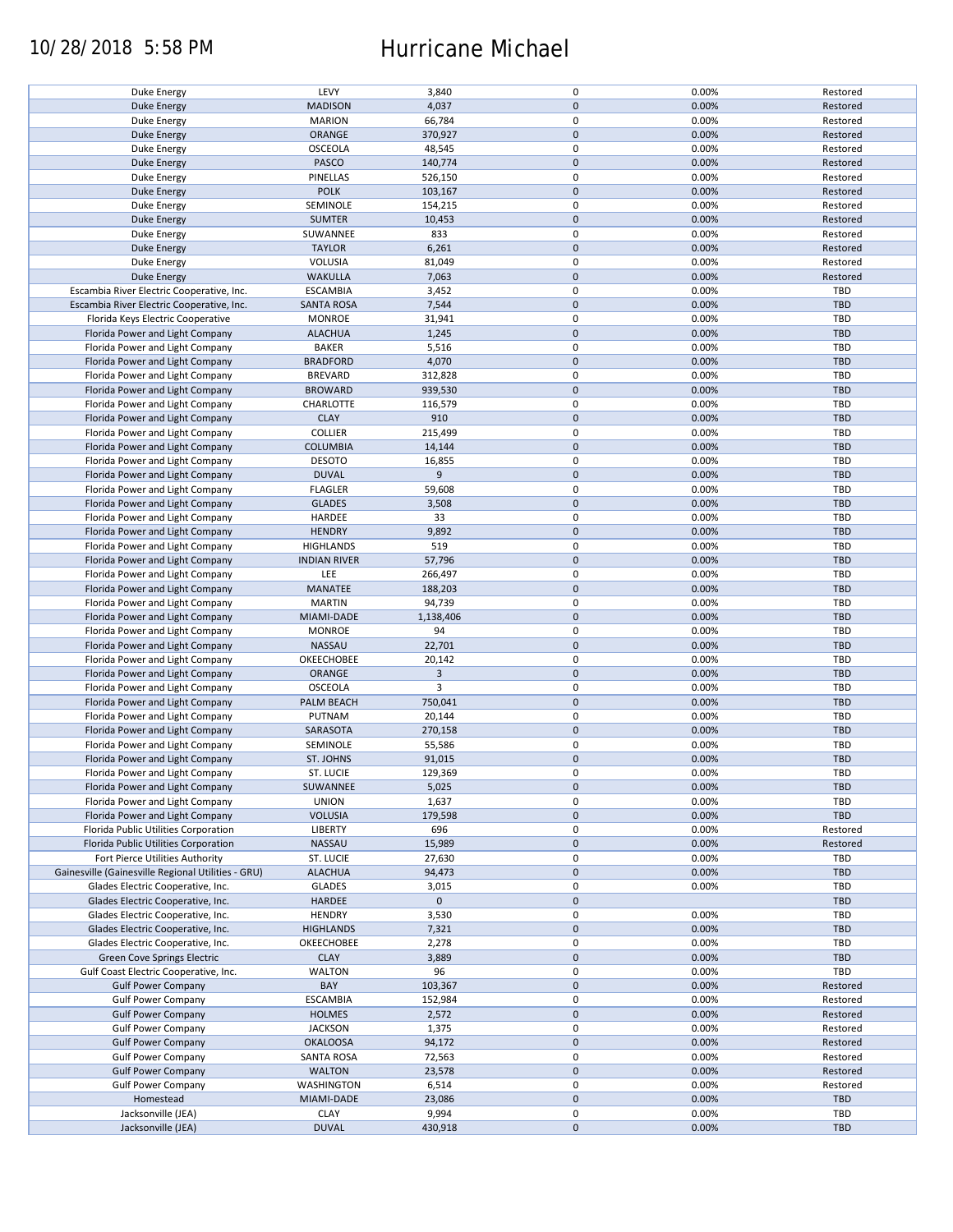## 10/28/2018 5:58 PM Hurricane Michael

| Duke Energy                                        | LEVY                | 3,840          | $\pmb{0}$           | 0.00% | Restored   |
|----------------------------------------------------|---------------------|----------------|---------------------|-------|------------|
|                                                    |                     |                |                     |       |            |
| <b>Duke Energy</b>                                 | <b>MADISON</b>      | 4,037          | $\mathbf 0$         | 0.00% | Restored   |
| Duke Energy                                        | <b>MARION</b>       | 66,784         | 0                   | 0.00% | Restored   |
| <b>Duke Energy</b>                                 | ORANGE              | 370,927        | $\mathbf 0$         | 0.00% | Restored   |
|                                                    |                     |                |                     |       |            |
| Duke Energy                                        | <b>OSCEOLA</b>      | 48,545         | $\pmb{0}$           | 0.00% | Restored   |
| <b>Duke Energy</b>                                 | PASCO               | 140,774        | $\mathbf 0$         | 0.00% | Restored   |
|                                                    |                     |                |                     |       |            |
| Duke Energy                                        | PINELLAS            | 526,150        | $\pmb{0}$           | 0.00% | Restored   |
| <b>Duke Energy</b>                                 | <b>POLK</b>         | 103,167        | $\mathbf 0$         | 0.00% | Restored   |
|                                                    |                     |                |                     |       |            |
| Duke Energy                                        | SEMINOLE            | 154,215        | $\pmb{0}$           | 0.00% | Restored   |
| <b>Duke Energy</b>                                 | <b>SUMTER</b>       | 10,453         | $\mathbf 0$         | 0.00% | Restored   |
|                                                    |                     |                |                     |       |            |
| Duke Energy                                        | SUWANNEE            | 833            | 0                   | 0.00% | Restored   |
| <b>Duke Energy</b>                                 | <b>TAYLOR</b>       | 6,261          | $\mathbf 0$         | 0.00% | Restored   |
|                                                    |                     |                |                     |       |            |
| Duke Energy                                        | <b>VOLUSIA</b>      | 81,049         | $\pmb{0}$           | 0.00% | Restored   |
| <b>Duke Energy</b>                                 | <b>WAKULLA</b>      | 7,063          | $\mathbf 0$         | 0.00% | Restored   |
|                                                    |                     |                |                     |       |            |
| Escambia River Electric Cooperative, Inc.          | <b>ESCAMBIA</b>     | 3,452          | $\pmb{0}$           | 0.00% | TBD        |
| Escambia River Electric Cooperative, Inc.          | <b>SANTA ROSA</b>   | 7,544          | $\pmb{0}$           | 0.00% | <b>TBD</b> |
|                                                    |                     |                |                     |       |            |
| Florida Keys Electric Cooperative                  | <b>MONROE</b>       | 31,941         | $\pmb{0}$           | 0.00% | TBD        |
| Florida Power and Light Company                    | <b>ALACHUA</b>      | 1,245          | $\pmb{0}$           | 0.00% | <b>TBD</b> |
|                                                    |                     |                |                     |       |            |
| Florida Power and Light Company                    | <b>BAKER</b>        | 5,516          | $\pmb{0}$           | 0.00% | <b>TBD</b> |
| Florida Power and Light Company                    | <b>BRADFORD</b>     | 4,070          | $\pmb{0}$           | 0.00% | <b>TBD</b> |
|                                                    |                     |                |                     |       |            |
| Florida Power and Light Company                    | <b>BREVARD</b>      | 312,828        | 0                   | 0.00% | <b>TBD</b> |
| Florida Power and Light Company                    | <b>BROWARD</b>      | 939,530        | $\pmb{0}$           | 0.00% | <b>TBD</b> |
|                                                    |                     |                |                     |       |            |
| Florida Power and Light Company                    | CHARLOTTE           | 116,579        | 0                   | 0.00% | <b>TBD</b> |
|                                                    | <b>CLAY</b>         | 910            | $\pmb{0}$           |       |            |
| Florida Power and Light Company                    |                     |                |                     | 0.00% | <b>TBD</b> |
| Florida Power and Light Company                    | <b>COLLIER</b>      | 215,499        | $\pmb{0}$           | 0.00% | <b>TBD</b> |
| Florida Power and Light Company                    | <b>COLUMBIA</b>     | 14,144         | $\pmb{0}$           | 0.00% | <b>TBD</b> |
|                                                    |                     |                |                     |       |            |
| Florida Power and Light Company                    | <b>DESOTO</b>       | 16,855         | $\pmb{0}$           | 0.00% | TBD        |
|                                                    | <b>DUVAL</b>        | 9              | $\mathbf 0$         | 0.00% |            |
| Florida Power and Light Company                    |                     |                |                     |       | <b>TBD</b> |
| Florida Power and Light Company                    | <b>FLAGLER</b>      | 59,608         | $\pmb{0}$           | 0.00% | TBD        |
|                                                    |                     |                |                     |       |            |
| Florida Power and Light Company                    | <b>GLADES</b>       | 3,508          | $\mathbf 0$         | 0.00% | <b>TBD</b> |
| Florida Power and Light Company                    | HARDEE              | 33             | 0                   | 0.00% | <b>TBD</b> |
|                                                    |                     |                |                     |       |            |
| Florida Power and Light Company                    | <b>HENDRY</b>       | 9,892          | $\mathbf 0$         | 0.00% | <b>TBD</b> |
| Florida Power and Light Company                    | <b>HIGHLANDS</b>    | 519            | 0                   | 0.00% | <b>TBD</b> |
|                                                    |                     |                |                     |       |            |
| Florida Power and Light Company                    | <b>INDIAN RIVER</b> | 57,796         | $\pmb{0}$           | 0.00% | <b>TBD</b> |
| Florida Power and Light Company                    | LEE                 | 266,497        | 0                   | 0.00% | TBD        |
|                                                    |                     |                |                     |       |            |
| Florida Power and Light Company                    | MANATEE             | 188,203        | $\mathbf 0$         | 0.00% | <b>TBD</b> |
| Florida Power and Light Company                    | <b>MARTIN</b>       | 94,739         | 0                   | 0.00% | TBD        |
|                                                    |                     |                | $\mathbf 0$         |       |            |
| Florida Power and Light Company                    | MIAMI-DADE          | 1,138,406      |                     | 0.00% | <b>TBD</b> |
| Florida Power and Light Company                    | <b>MONROE</b>       | 94             | $\pmb{0}$           | 0.00% | TBD        |
|                                                    |                     |                |                     |       |            |
| Florida Power and Light Company                    | NASSAU              | 22,701         | $\pmb{0}$           | 0.00% | <b>TBD</b> |
| Florida Power and Light Company                    | OKEECHOBEE          | 20,142         | $\pmb{0}$           | 0.00% | TBD        |
|                                                    |                     |                |                     |       |            |
| Florida Power and Light Company                    | ORANGE              | $\overline{3}$ | $\pmb{0}$           | 0.00% | <b>TBD</b> |
| Florida Power and Light Company                    | OSCEOLA             | 3              | $\pmb{0}$           | 0.00% | <b>TBD</b> |
|                                                    |                     |                |                     |       |            |
| Florida Power and Light Company                    | PALM BEACH          | 750,041        | $\pmb{0}$           | 0.00% | <b>TBD</b> |
| Florida Power and Light Company                    | PUTNAM              | 20,144         | 0                   | 0.00% | <b>TBD</b> |
|                                                    |                     |                |                     |       |            |
| Florida Power and Light Company                    | SARASOTA            | 270,158        | $\mathbf 0$         | 0.00% | <b>TBD</b> |
| Florida Power and Light Company                    | SEMINOLE            | 55,586         | $\pmb{0}$           | 0.00% | <b>TBD</b> |
|                                                    |                     |                |                     |       |            |
| Florida Power and Light Company                    | ST. JOHNS           | 91,015         | $\mathbf 0$         | 0.00% | <b>TBD</b> |
| Florida Power and Light Company                    | ST. LUCIE           | 129,369        | $\mathbf 0$         | 0.00% | TBD        |
|                                                    |                     |                |                     |       |            |
| Florida Power and Light Company                    | SUWANNEE            | 5,025          | $\pmb{0}$           | 0.00% | <b>TBD</b> |
| Florida Power and Light Company                    | <b>UNION</b>        | 1,637          | 0                   | 0.00% | <b>TBD</b> |
|                                                    |                     |                |                     |       |            |
| Florida Power and Light Company                    | <b>VOLUSIA</b>      | 179,598        | $\mathsf{O}\xspace$ | 0.00% | TBD        |
| Florida Public Utilities Corporation               | <b>LIBERTY</b>      | 696            | 0                   | 0.00% | Restored   |
|                                                    |                     |                |                     |       |            |
| Florida Public Utilities Corporation               | NASSAU              | 15,989         | $\mathsf{O}\xspace$ | 0.00% | Restored   |
| Fort Pierce Utilities Authority                    | ST. LUCIE           | 27,630         | 0                   | 0.00% | <b>TBD</b> |
|                                                    |                     |                |                     |       |            |
| Gainesville (Gainesville Regional Utilities - GRU) | <b>ALACHUA</b>      | 94,473         | $\mathsf{O}\xspace$ | 0.00% | <b>TBD</b> |
| Glades Electric Cooperative, Inc.                  | <b>GLADES</b>       | 3,015          | 0                   | 0.00% | <b>TBD</b> |
|                                                    |                     |                |                     |       |            |
| Glades Electric Cooperative, Inc.                  | HARDEE              | $\mathbf 0$    | $\mathsf{O}\xspace$ |       | <b>TBD</b> |
| Glades Electric Cooperative, Inc.                  | <b>HENDRY</b>       | 3,530          | 0                   | 0.00% | TBD        |
|                                                    |                     |                |                     |       |            |
| Glades Electric Cooperative, Inc.                  | <b>HIGHLANDS</b>    | 7,321          | $\pmb{0}$           | 0.00% | <b>TBD</b> |
| Glades Electric Cooperative, Inc.                  | OKEECHOBEE          | 2,278          | 0                   | 0.00% | <b>TBD</b> |
|                                                    |                     |                |                     |       |            |
| Green Cove Springs Electric                        | <b>CLAY</b>         | 3,889          | $\mathbf 0$         | 0.00% | <b>TBD</b> |
| Gulf Coast Electric Cooperative, Inc.              | <b>WALTON</b>       | 96             | 0                   | 0.00% | TBD        |
|                                                    |                     |                |                     |       |            |
| <b>Gulf Power Company</b>                          | BAY                 | 103,367        | $\pmb{0}$           | 0.00% | Restored   |
| <b>Gulf Power Company</b>                          | <b>ESCAMBIA</b>     | 152,984        | $\pmb{0}$           | 0.00% | Restored   |
|                                                    |                     |                |                     |       |            |
| <b>Gulf Power Company</b>                          | <b>HOLMES</b>       | 2,572          | $\pmb{0}$           | 0.00% | Restored   |
| <b>Gulf Power Company</b>                          | <b>JACKSON</b>      | 1,375          | $\pmb{0}$           | 0.00% | Restored   |
|                                                    |                     |                |                     |       |            |
| <b>Gulf Power Company</b>                          | <b>OKALOOSA</b>     | 94,172         | $\pmb{0}$           | 0.00% | Restored   |
| <b>Gulf Power Company</b>                          | <b>SANTA ROSA</b>   | 72,563         | $\pmb{0}$           | 0.00% | Restored   |
|                                                    |                     |                |                     |       |            |
| <b>Gulf Power Company</b>                          | <b>WALTON</b>       | 23,578         | $\pmb{0}$           | 0.00% | Restored   |
| <b>Gulf Power Company</b>                          | <b>WASHINGTON</b>   | 6,514          | $\pmb{0}$           | 0.00% | Restored   |
|                                                    |                     |                |                     |       |            |
| Homestead                                          | MIAMI-DADE          | 23,086         | $\pmb{0}$           | 0.00% | <b>TBD</b> |
| Jacksonville (JEA)                                 | <b>CLAY</b>         | 9,994          | 0                   | 0.00% | <b>TBD</b> |
|                                                    |                     |                |                     |       |            |
| Jacksonville (JEA)                                 | <b>DUVAL</b>        | 430,918        | $\mathsf{O}\xspace$ | 0.00% | <b>TBD</b> |
|                                                    |                     |                |                     |       |            |